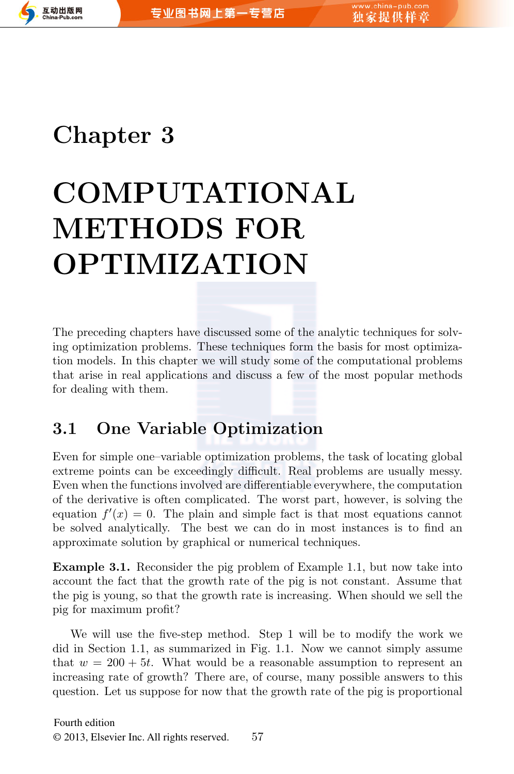

# **Chapter 3**

# **COMPUTATIONAL METHODS FOR OPTIMIZATION**

The preceding chapters have discussed some of the analytic techniques for solving optimization problems. These techniques form the basis for most optimization models. In this chapter we will study some of the computational problems that arise in real applications and discuss a few of the most popular methods for dealing with them.

# **3.1 One Variable Optimization**

Even for simple one–variable optimization problems, the task of locating global extreme points can be exceedingly difficult. Real problems are usually messy. Even when the functions involved are differentiable everywhere, the computation of the derivative is often complicated. The worst part, however, is solving the equation  $f'(x) = 0$ . The plain and simple fact is that most equations cannot be solved analytically. The best we can do in most instances is to find an approximate solution by graphical or numerical techniques.

**Example 3.1.** Reconsider the pig problem of Example 1.1, but now take into account the fact that the growth rate of the pig is not constant. Assume that the pig is young, so that the growth rate is increasing. When should we sell the pig for maximum profit?

We will use the five-step method. Step 1 will be to modify the work we did in Section 1.1, as summarized in Fig. 1.1. Now we cannot simply assume that  $w = 200 + 5t$ . What would be a reasonable assumption to represent an increasing rate of growth? There are, of course, many possible answers to this question. Let us suppose for now that the growth rate of the pig is proportional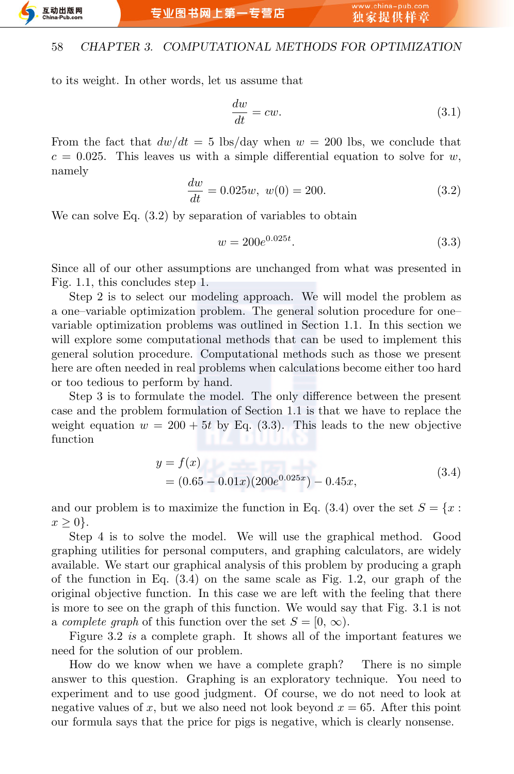to its weight. In other words, let us assume that

$$
\frac{dw}{dt} = cw.
$$
\n(3.1)

From the fact that  $dw/dt = 5$  lbs/day when  $w = 200$  lbs, we conclude that  $c = 0.025$ . This leaves us with a simple differential equation to solve for *w*, namely

$$
\frac{dw}{dt} = 0.025w, \ w(0) = 200.
$$
 (3.2)

We can solve Eq.  $(3.2)$  by separation of variables to obtain

$$
w = 200e^{0.025t}.\t\t(3.3)
$$

Since all of our other assumptions are unchanged from what was presented in Fig. 1.1, this concludes step 1.

Step 2 is to select our modeling approach. We will model the problem as a one–variable optimization problem. The general solution procedure for one– variable optimization problems was outlined in Section 1.1. In this section we will explore some computational methods that can be used to implement this general solution procedure. Computational methods such as those we present here are often needed in real problems when calculations become either too hard or too tedious to perform by hand.

Step 3 is to formulate the model. The only difference between the present case and the problem formulation of Section 1.1 is that we have to replace the weight equation  $w = 200 + 5t$  by Eq. (3.3). This leads to the new objective function

$$
y = f(x)
$$
  
= (0.65 - 0.01x)(200e<sup>0.025x</sup>) - 0.45x, (3.4)

and our problem is to maximize the function in Eq.  $(3.4)$  over the set  $S = \{x :$ *x ≥* 0*}.*

Step 4 is to solve the model. We will use the graphical method. Good graphing utilities for personal computers, and graphing calculators, are widely available. We start our graphical analysis of this problem by producing a graph of the function in Eq.  $(3.4)$  on the same scale as Fig. 1.2, our graph of the original objective function. In this case we are left with the feeling that there is more to see on the graph of this function. We would say that Fig. 3.1 is not a *complete graph* of this function over the set  $S = [0, \infty)$ .

Figure 3.2 *is* a complete graph. It shows all of the important features we need for the solution of our problem.

How do we know when we have a complete graph? There is no simple answer to this question. Graphing is an exploratory technique. You need to experiment and to use good judgment. Of course, we do not need to look at negative values of  $x$ , but we also need not look beyond  $x = 65$ . After this point our formula says that the price for pigs is negative, which is clearly nonsense.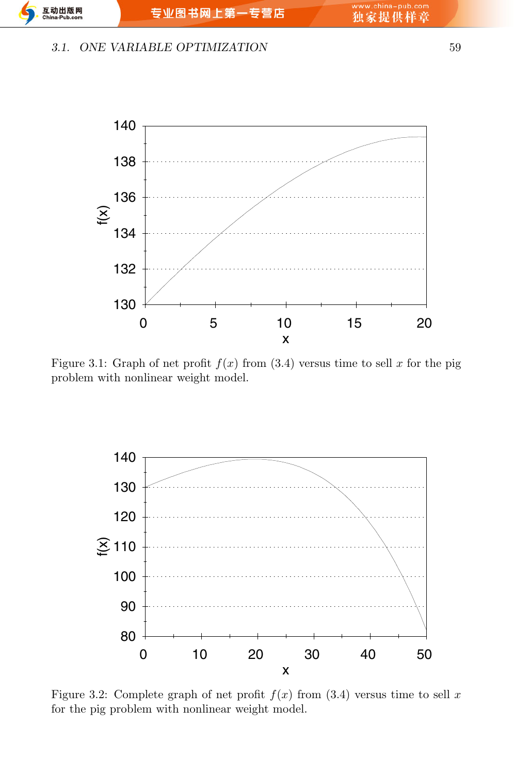#### *3.1. ONE VARIABLE OPTIMIZATION* 59



Figure 3.1: Graph of net profit  $f(x)$  from (3.4) versus time to sell x for the pig problem with nonlinear weight model.



Figure 3.2: Complete graph of net profit  $f(x)$  from (3.4) versus time to sell  $x$ for the pig problem with nonlinear weight model.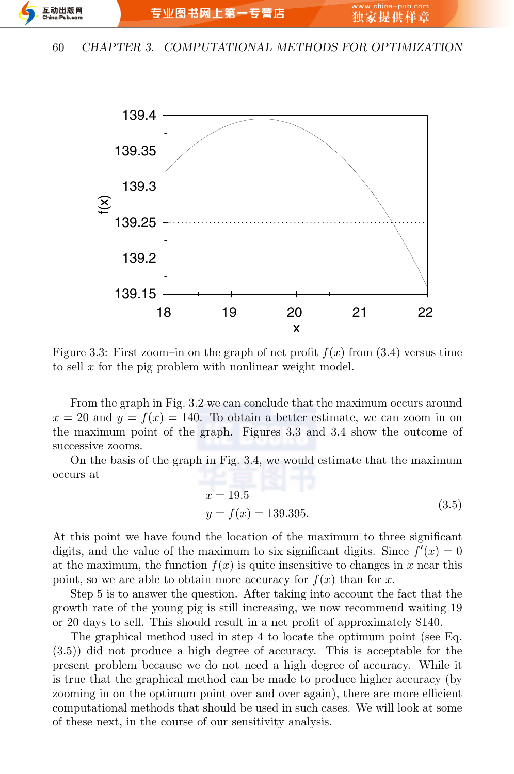互动出版网

#### 60 *CHAPTER 3. COMPUTATIONAL METHODS FOR OPTIMIZATION*



Figure 3.3: First zoom-in on the graph of net profit  $f(x)$  from (3.4) versus time to sell *x* for the pig problem with nonlinear weight model.

From the graph in Fig. 3.2 we can conclude that the maximum occurs around  $x = 20$  and  $y = f(x) = 140$ . To obtain a better estimate, we can zoom in on the maximum point of the graph. Figures 3.3 and 3.4 show the outcome of successive zooms.

On the basis of the graph in Fig. 3.4, we would estimate that the maximum occurs at

$$
x = 19.5
$$
  

$$
y = f(x) = 139.395.
$$
 (3.5)

At this point we have found the location of the maximum to three significant digits, and the value of the maximum to six significant digits. Since  $f'(x) = 0$ at the maximum, the function  $f(x)$  is quite insensitive to changes in x near this point, so we are able to obtain more accuracy for  $f(x)$  than for *x*.

Step 5 is to answer the question. After taking into account the fact that the growth rate of the young pig is still increasing, we now recommend waiting 19 or 20 days to sell. This should result in a net profit of approximately \$140.

The graphical method used in step 4 to locate the optimum point (see Eq. (3.5)) did not produce a high degree of accuracy. This is acceptable for the present problem because we do not need a high degree of accuracy. While it is true that the graphical method can be made to produce higher accuracy (by zooming in on the optimum point over and over again), there are more efficient computational methods that should be used in such cases. We will look at some of these next, in the course of our sensitivity analysis.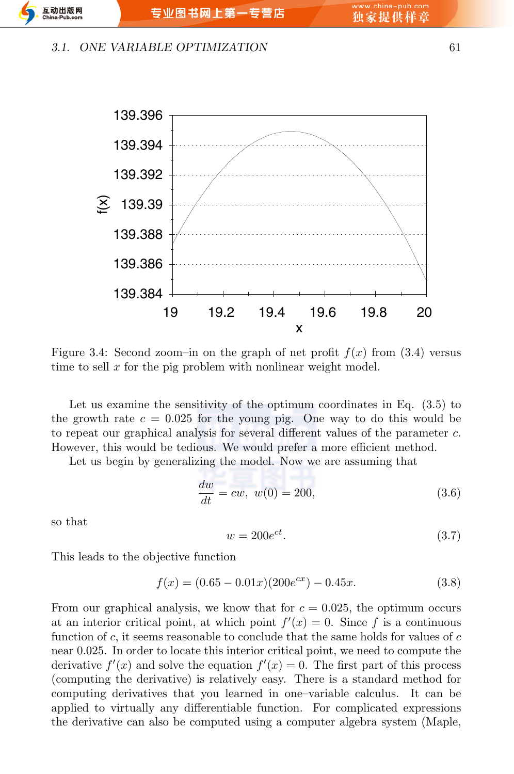#### *3.1. ONE VARIABLE OPTIMIZATION* 61

互动出版网



Figure 3.4: Second zoom-in on the graph of net profit  $f(x)$  from (3.4) versus time to sell x for the pig problem with nonlinear weight model.

Let us examine the sensitivity of the optimum coordinates in Eq. (3.5) to the growth rate  $c = 0.025$  for the young pig. One way to do this would be to repeat our graphical analysis for several different values of the parameter *c*. However, this would be tedious. We would prefer a more efficient method.

Let us begin by generalizing the model. Now we are assuming that

$$
\frac{dw}{dt} = cw, \ w(0) = 200,\tag{3.6}
$$

so that

$$
w = 200e^{ct}.\tag{3.7}
$$

This leads to the objective function

$$
f(x) = (0.65 - 0.01x)(200e^{cx}) - 0.45x.
$$
 (3.8)

From our graphical analysis, we know that for  $c = 0.025$ , the optimum occurs at an interior critical point, at which point  $f'(x) = 0$ . Since f is a continuous function of *c*, it seems reasonable to conclude that the same holds for values of *c* near 0*.*025. In order to locate this interior critical point, we need to compute the derivative  $f'(x)$  and solve the equation  $f'(x) = 0$ . The first part of this process (computing the derivative) is relatively easy. There is a standard method for computing derivatives that you learned in one–variable calculus. It can be applied to virtually any differentiable function. For complicated expressions the derivative can also be computed using a computer algebra system (Maple,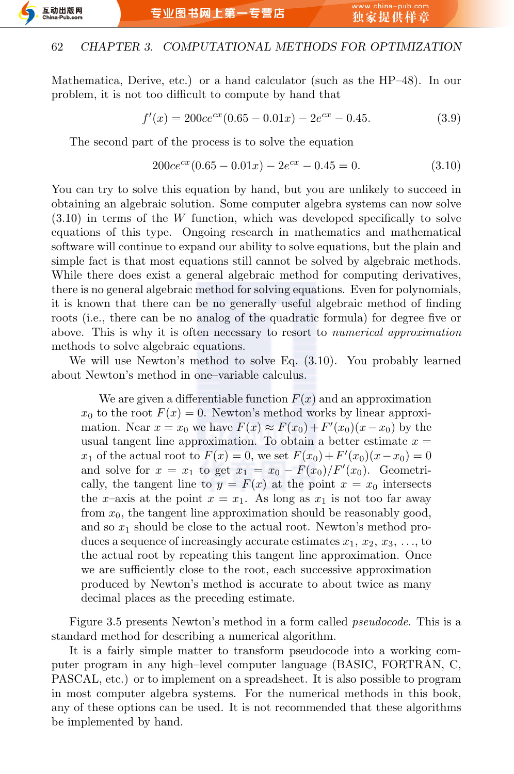

Mathematica, Derive, etc.) or a hand calculator (such as the HP–48). In our problem, it is not too difficult to compute by hand that

$$
f'(x) = 200ce^{cx}(0.65 - 0.01x) - 2e^{cx} - 0.45.
$$
 (3.9)

The second part of the process is to solve the equation

$$
200ce^{cx}(0.65 - 0.01x) - 2e^{cx} - 0.45 = 0.
$$
\n(3.10)

You can try to solve this equation by hand, but you are unlikely to succeed in obtaining an algebraic solution. Some computer algebra systems can now solve (3.10) in terms of the *W* function, which was developed specifically to solve equations of this type. Ongoing research in mathematics and mathematical software will continue to expand our ability to solve equations, but the plain and simple fact is that most equations still cannot be solved by algebraic methods. While there does exist a general algebraic method for computing derivatives, there is no general algebraic method for solving equations. Even for polynomials, it is known that there can be no generally useful algebraic method of finding roots (i.e., there can be no analog of the quadratic formula) for degree five or above. This is why it is often necessary to resort to *numerical approximation* methods to solve algebraic equations.

We will use Newton's method to solve Eq. (3.10). You probably learned about Newton's method in one–variable calculus.

We are given a differentiable function  $F(x)$  and an approximation  $x_0$  to the root  $F(x) = 0$ . Newton's method works by linear approximation. Near  $x = x_0$  we have  $F(x) \approx F(x_0) + F'(x_0)(x - x_0)$  by the usual tangent line approximation. To obtain a better estimate  $x =$ *x*<sub>1</sub> of the actual root to  $F(x) = 0$ , we set  $F(x_0) + F'(x_0)(x - x_0) = 0$ and solve for  $x = x_1$  to get  $x_1 = x_0 - F(x_0)/F'(x_0)$ . Geometrically, the tangent line to  $y = F(x)$  at the point  $x = x_0$  intersects the *x*–axis at the point  $x = x_1$ . As long as  $x_1$  is not too far away from  $x_0$ , the tangent line approximation should be reasonably good, and so  $x_1$  should be close to the actual root. Newton's method produces a sequence of increasingly accurate estimates  $x_1, x_2, x_3, \ldots$ , to the actual root by repeating this tangent line approximation. Once we are sufficiently close to the root, each successive approximation produced by Newton's method is accurate to about twice as many decimal places as the preceding estimate.

Figure 3.5 presents Newton's method in a form called *pseudocode*. This is a standard method for describing a numerical algorithm.

It is a fairly simple matter to transform pseudocode into a working computer program in any high–level computer language (BASIC, FORTRAN, C, PASCAL, etc.) or to implement on a spreadsheet. It is also possible to program in most computer algebra systems. For the numerical methods in this book, any of these options can be used. It is not recommended that these algorithms be implemented by hand.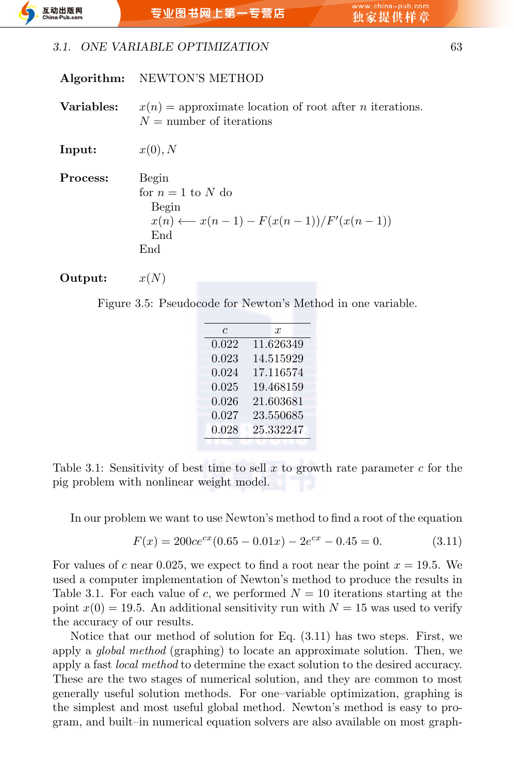#### *3.1. ONE VARIABLE OPTIMIZATION* 63

|            | Algorithm: NEWTON'S METHOD                                                                                 |
|------------|------------------------------------------------------------------------------------------------------------|
| Variables: | $x(n)$ = approximate location of root after <i>n</i> iterations.<br>$N =$ number of iterations             |
| Input:     | x(0), N                                                                                                    |
| Process:   | Begin<br>for $n = 1$ to N do<br>Begin<br>$x(n) \longleftarrow x(n-1) - F(x(n-1))/F'(x(n-1))$<br>End<br>End |
| Output:    | x(N)                                                                                                       |

Figure 3.5: Pseudocode for Newton's Method in one variable.

| $\epsilon$ | $\boldsymbol{x}$ |
|------------|------------------|
| 0.022      | 11.626349        |
| 0.023      | 14.515929        |
| 0.024      | 17.116574        |
| 0.025      | 19.468159        |
| 0.026      | 21.603681        |
| 0.027      | 23.550685        |
| 0.028      | 25.332247        |
|            |                  |

Table 3.1: Sensitivity of best time to sell *x* to growth rate parameter *c* for the pig problem with nonlinear weight model.

In our problem we want to use Newton's method to find a root of the equation

$$
F(x) = 200ce^{cx}(0.65 - 0.01x) - 2e^{cx} - 0.45 = 0.
$$
 (3.11)

For values of *c* near 0.025, we expect to find a root near the point  $x = 19.5$ . We used a computer implementation of Newton's method to produce the results in Table 3.1. For each value of *c*, we performed  $N = 10$  iterations starting at the point  $x(0) = 19.5$ . An additional sensitivity run with  $N = 15$  was used to verify the accuracy of our results.

Notice that our method of solution for Eq. (3.11) has two steps. First, we apply a *global method* (graphing) to locate an approximate solution. Then, we apply a fast *local method* to determine the exact solution to the desired accuracy. These are the two stages of numerical solution, and they are common to most generally useful solution methods. For one–variable optimization, graphing is the simplest and most useful global method. Newton's method is easy to program, and built–in numerical equation solvers are also available on most graph-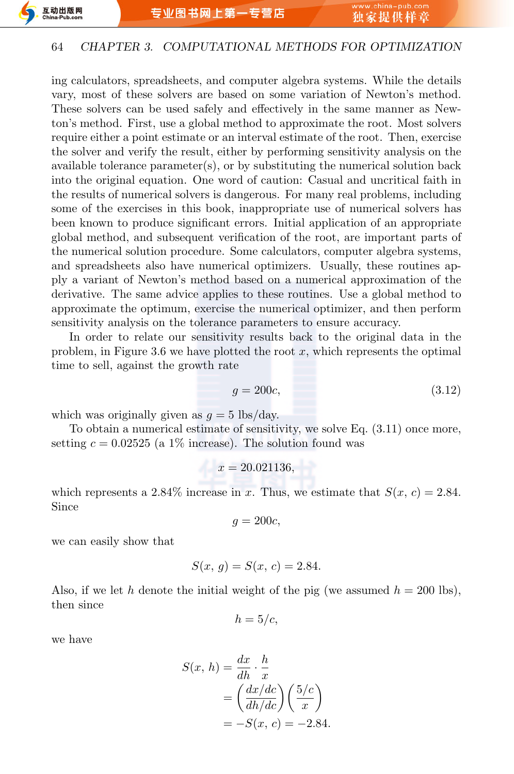ing calculators, spreadsheets, and computer algebra systems. While the details vary, most of these solvers are based on some variation of Newton's method. These solvers can be used safely and effectively in the same manner as Newton's method. First, use a global method to approximate the root. Most solvers require either a point estimate or an interval estimate of the root. Then, exercise the solver and verify the result, either by performing sensitivity analysis on the available tolerance parameter(s), or by substituting the numerical solution back into the original equation. One word of caution: Casual and uncritical faith in the results of numerical solvers is dangerous. For many real problems, including some of the exercises in this book, inappropriate use of numerical solvers has been known to produce significant errors. Initial application of an appropriate global method, and subsequent verification of the root, are important parts of the numerical solution procedure. Some calculators, computer algebra systems, and spreadsheets also have numerical optimizers. Usually, these routines apply a variant of Newton's method based on a numerical approximation of the derivative. The same advice applies to these routines. Use a global method to approximate the optimum, exercise the numerical optimizer, and then perform sensitivity analysis on the tolerance parameters to ensure accuracy.

In order to relate our sensitivity results back to the original data in the problem, in Figure 3.6 we have plotted the root *x*, which represents the optimal time to sell, against the growth rate

$$
g = 200c,\t\t(3.12)
$$

which was originally given as  $g = 5$  lbs/day.

To obtain a numerical estimate of sensitivity, we solve Eq. (3.11) once more, setting  $c = 0.02525$  (a 1% increase). The solution found was

$$
x = 20.021136,
$$

which represents a 2.84% increase in *x*. Thus, we estimate that  $S(x, c) = 2.84$ . Since

$$
g=200c,
$$

we can easily show that

$$
S(x, g) = S(x, c) = 2.84.
$$

Also, if we let *h* denote the initial weight of the pig (we assumed  $h = 200$  lbs), then since

$$
h=5/c,
$$

we have

$$
S(x, h) = \frac{dx}{dh} \cdot \frac{h}{x}
$$
  
=  $\left(\frac{dx/dc}{dh/dc}\right) \left(\frac{5/c}{x}\right)$   
=  $-S(x, c) = -2.84.$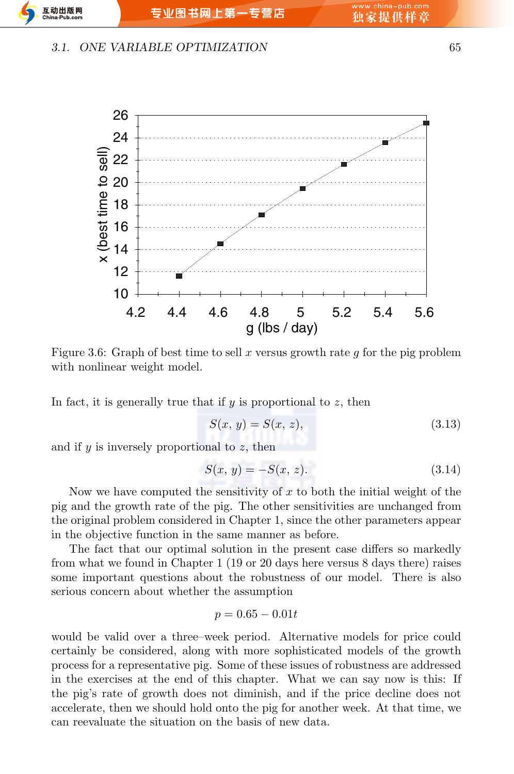#### *3.1. ONE VARIABLE OPTIMIZATION* 65



Figure 3.6: Graph of best time to sell *x* versus growth rate *g* for the pig problem with nonlinear weight model.

In fact, it is generally true that if *y* is proportional to *z*, then

$$
S(x, y) = S(x, z),
$$
\n(3.13)

and if *y* is inversely proportional to *z*, then

$$
S(x, y) = -S(x, z). \t(3.14)
$$

Now we have computed the sensitivity of *x* to both the initial weight of the pig and the growth rate of the pig. The other sensitivities are unchanged from the original problem considered in Chapter 1, since the other parameters appear in the objective function in the same manner as before.

The fact that our optimal solution in the present case differs so markedly from what we found in Chapter 1 (19 or 20 days here versus 8 days there) raises some important questions about the robustness of our model. There is also serious concern about whether the assumption

$$
p = 0.65 - 0.01t
$$

would be valid over a three–week period. Alternative models for price could certainly be considered, along with more sophisticated models of the growth process for a representative pig. Some of these issues of robustness are addressed in the exercises at the end of this chapter. What we can say now is this: If the pig's rate of growth does not diminish, and if the price decline does not accelerate, then we should hold onto the pig for another week. At that time, we can reevaluate the situation on the basis of new data.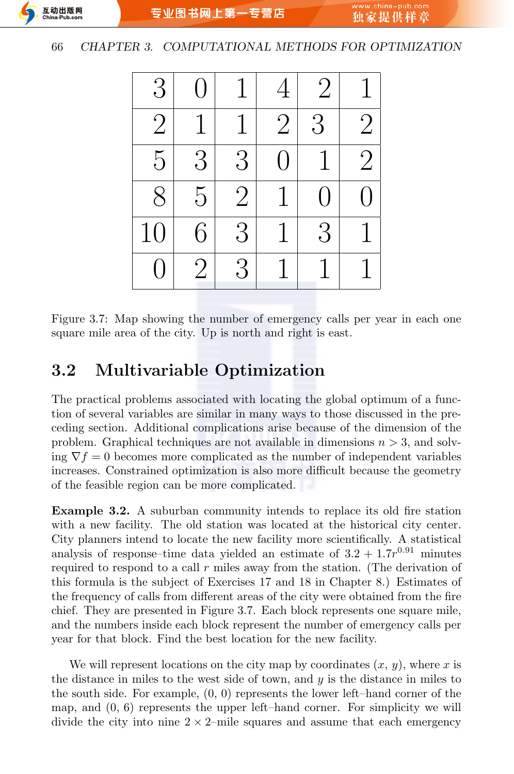

Figure 3.7: Map showing the number of emergency calls per year in each one square mile area of the city. Up is north and right is east.

## **3.2 Multivariable Optimization**

The practical problems associated with locating the global optimum of a function of several variables are similar in many ways to those discussed in the preceding section. Additional complications arise because of the dimension of the problem. Graphical techniques are not available in dimensions *n >* 3, and solving  $\nabla f = 0$  becomes more complicated as the number of independent variables increases. Constrained optimization is also more difficult because the geometry of the feasible region can be more complicated.

**Example 3.2.** A suburban community intends to replace its old fire station with a new facility. The old station was located at the historical city center. City planners intend to locate the new facility more scientifically. A statistical analysis of response–time data yielded an estimate of  $3.2 + 1.7r^{0.91}$  minutes required to respond to a call *r* miles away from the station. (The derivation of this formula is the subject of Exercises 17 and 18 in Chapter 8.) Estimates of the frequency of calls from different areas of the city were obtained from the fire chief. They are presented in Figure 3.7. Each block represents one square mile, and the numbers inside each block represent the number of emergency calls per year for that block. Find the best location for the new facility.

We will represent locations on the city map by coordinates  $(x, y)$ , where  $x$  is the distance in miles to the west side of town, and *y* is the distance in miles to the south side. For example, (0*,* 0) represents the lower left–hand corner of the map, and (0*,* 6) represents the upper left–hand corner. For simplicity we will divide the city into nine  $2 \times 2$ –mile squares and assume that each emergency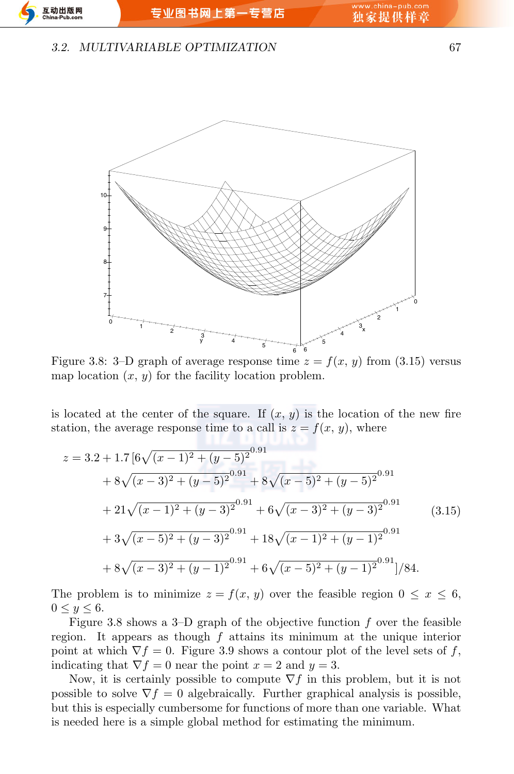#### *3.2. MULTIVARIABLE OPTIMIZATION* 67



Figure 3.8: 3–D graph of average response time  $z = f(x, y)$  from (3.15) versus map location  $(x, y)$  for the facility location problem.

is located at the center of the square. If  $(x, y)$  is the location of the new fire station, the average response time to a call is  $z = f(x, y)$ , where

$$
z = 3.2 + 1.7 \left[ 6\sqrt{(x-1)^2 + (y-5)^2}^{0.91} \right. \n+ 8\sqrt{(x-3)^2 + (y-5)^2}^{0.91} + 8\sqrt{(x-5)^2 + (y-5)^2}^{0.91} \n+ 21\sqrt{(x-1)^2 + (y-3)^2}^{0.91} + 6\sqrt{(x-3)^2 + (y-3)^2}^{0.91} \n+ 3\sqrt{(x-5)^2 + (y-3)^2}^{0.91} + 18\sqrt{(x-1)^2 + (y-1)^2}^{0.91} \n+ 8\sqrt{(x-3)^2 + (y-1)^2}^{0.91} + 6\sqrt{(x-5)^2 + (y-1)^2}^{0.91} \Big| /84.
$$
\n(3.15)

The problem is to minimize  $z = f(x, y)$  over the feasible region  $0 \leq x \leq 6$ ,  $0 \leq y \leq 6.$ 

Figure 3.8 shows a 3–D graph of the objective function *f* over the feasible region. It appears as though *f* attains its minimum at the unique interior point at which  $\nabla f = 0$ . Figure 3.9 shows a contour plot of the level sets of *f*, indicating that  $\nabla f = 0$  near the point  $x = 2$  and  $y = 3$ .

Now, it is certainly possible to compute  $\nabla f$  in this problem, but it is not possible to solve  $\nabla f = 0$  algebraically. Further graphical analysis is possible, but this is especially cumbersome for functions of more than one variable. What is needed here is a simple global method for estimating the minimum.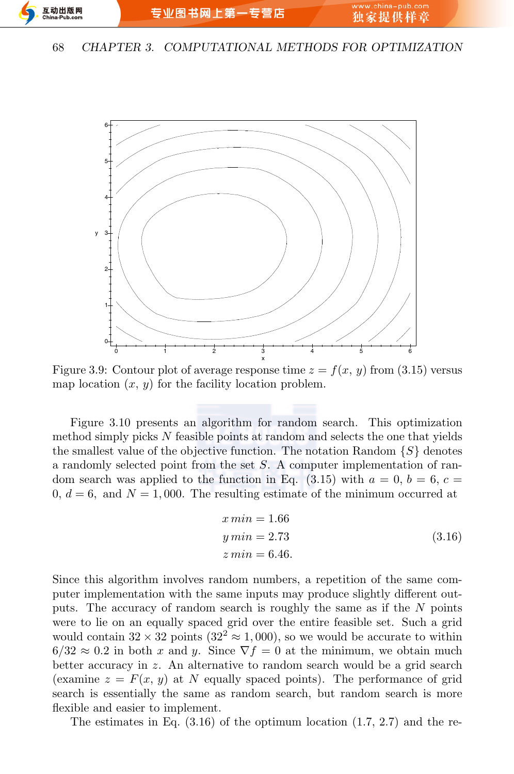

Figure 3.9: Contour plot of average response time  $z = f(x, y)$  from (3.15) versus map location  $(x, y)$  for the facility location problem.

Figure 3.10 presents an algorithm for random search. This optimization method simply picks *N* feasible points at random and selects the one that yields the smallest value of the objective function. The notation Random  $\{S\}$  denotes a randomly selected point from the set *S*. A computer implementation of random search was applied to the function in Eq.  $(3.15)$  with  $a = 0, b = 6, c =$  $0, d = 6$ , and  $N = 1,000$ . The resulting estimate of the minimum occurred at

$$
x min = 1.66
$$
  
\n
$$
y min = 2.73
$$
  
\n
$$
z min = 6.46.
$$
  
\n(3.16)

Since this algorithm involves random numbers, a repetition of the same computer implementation with the same inputs may produce slightly different outputs. The accuracy of random search is roughly the same as if the *N* points were to lie on an equally spaced grid over the entire feasible set. Such a grid would contain  $32 \times 32$  points  $(32^2 \approx 1,000)$ , so we would be accurate to within  $6/32 \approx 0.2$  in both *x* and *y*. Since  $\nabla f = 0$  at the minimum, we obtain much better accuracy in *z*. An alternative to random search would be a grid search (examine  $z = F(x, y)$  at *N* equally spaced points). The performance of grid search is essentially the same as random search, but random search is more flexible and easier to implement.

The estimates in Eq. (3.16) of the optimum location (1*.*7*,* 2*.*7) and the re-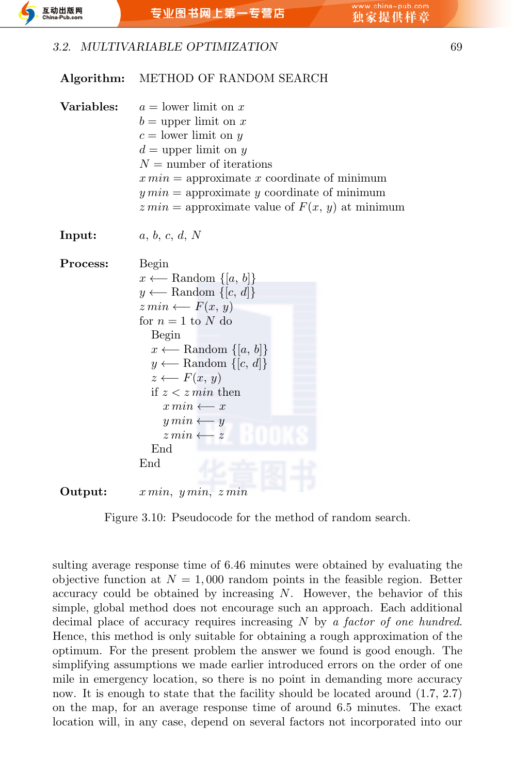

#### **Algorithm:** METHOD OF RANDOM SEARCH

| Variables: | $a =$ lower limit on x<br>$b =$ upper limit on x<br>$c =$ lower limit on y<br>$d =$ upper limit on y<br>$N =$ number of iterations<br>$x \, min =$ approximate x coordinate of minimum<br>$y \min =$ approximate y coordinate of minimum                                                                                                                                                                     |  |  |  |  |  |  |  |
|------------|--------------------------------------------------------------------------------------------------------------------------------------------------------------------------------------------------------------------------------------------------------------------------------------------------------------------------------------------------------------------------------------------------------------|--|--|--|--|--|--|--|
|            | $z \text{ min} =$ approximate value of $F(x, y)$ at minimum                                                                                                                                                                                                                                                                                                                                                  |  |  |  |  |  |  |  |
| Input:     | a, b, c, d, N                                                                                                                                                                                                                                                                                                                                                                                                |  |  |  |  |  |  |  |
| Process:   | Begin<br>$x \longleftarrow$ Random $\{[a, b]\}$<br>$y \longleftarrow$ Random $\{[c, d]\}$<br>$z\,min \leftarrow F(x, y)$<br>for $n=1$ to N do<br>Begin<br>$x \longleftarrow$ Random $\{[a, b]\}$<br>$y \longleftarrow$ Random $\{[c, d]\}$<br>$z \longleftarrow F(x, y)$<br>if $z < z min$ then<br>$x\min \longleftarrow x$<br>$y\,min \leftarrow y$<br>$z\,min \leftarrow z$<br>End<br>$\operatorname{End}$ |  |  |  |  |  |  |  |
| Output:    | $x \min, y \min, z \min$                                                                                                                                                                                                                                                                                                                                                                                     |  |  |  |  |  |  |  |

Figure 3.10: Pseudocode for the method of random search.

sulting average response time of 6*.*46 minutes were obtained by evaluating the objective function at  $N = 1,000$  random points in the feasible region. Better accuracy could be obtained by increasing *N*. However, the behavior of this simple, global method does not encourage such an approach. Each additional decimal place of accuracy requires increasing *N* by *a factor of one hundred*. Hence, this method is only suitable for obtaining a rough approximation of the optimum. For the present problem the answer we found is good enough. The simplifying assumptions we made earlier introduced errors on the order of one mile in emergency location, so there is no point in demanding more accuracy now. It is enough to state that the facility should be located around (1*.*7*,* 2*.*7) on the map, for an average response time of around 6.5 minutes. The exact location will, in any case, depend on several factors not incorporated into our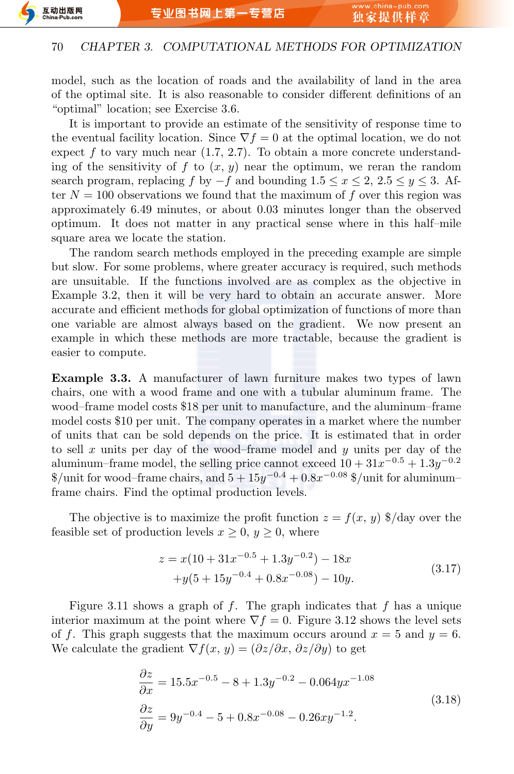model, such as the location of roads and the availability of land in the area of the optimal site. It is also reasonable to consider different definitions of an "optimal" location; see Exercise 3.6.

It is important to provide an estimate of the sensitivity of response time to the eventual facility location. Since  $\nabla f = 0$  at the optimal location, we do not expect  $f$  to vary much near  $(1.7, 2.7)$ . To obtain a more concrete understanding of the sensitivity of  $f$  to  $(x, y)$  near the optimum, we reran the random search program, replacing *f* by  $-f$  and bounding  $1.5 \leq x \leq 2$ ,  $2.5 \leq y \leq 3$ . After  $N = 100$  observations we found that the maximum of  $f$  over this region was approximately 6.49 minutes, or about 0.03 minutes longer than the observed optimum. It does not matter in any practical sense where in this half–mile square area we locate the station.

The random search methods employed in the preceding example are simple but slow. For some problems, where greater accuracy is required, such methods are unsuitable. If the functions involved are as complex as the objective in Example 3.2, then it will be very hard to obtain an accurate answer. More accurate and efficient methods for global optimization of functions of more than one variable are almost always based on the gradient. We now present an example in which these methods are more tractable, because the gradient is easier to compute.

**Example 3.3.** A manufacturer of lawn furniture makes two types of lawn chairs, one with a wood frame and one with a tubular aluminum frame. The wood–frame model costs \$18 per unit to manufacture, and the aluminum–frame model costs \$10 per unit. The company operates in a market where the number of units that can be sold depends on the price. It is estimated that in order to sell *x* units per day of the wood–frame model and *y* units per day of the aluminum–frame model, the selling price cannot exceed  $10 + 31x^{-0.5} + 1.3y^{-0.2}$ \$/unit for wood–frame chairs, and 5 + 15*y <sup>−</sup>*0*.*<sup>4</sup> + 0*.*8*x <sup>−</sup>*0*.*<sup>08</sup> \$/unit for aluminum– frame chairs. Find the optimal production levels.

The objective is to maximize the profit function  $z = f(x, y)$  \$/day over the feasible set of production levels  $x \geq 0$ ,  $y \geq 0$ , where

$$
z = x(10 + 31x^{-0.5} + 1.3y^{-0.2}) - 18x
$$
  
+
$$
y(5 + 15y^{-0.4} + 0.8x^{-0.08}) - 10y.
$$
 (3.17)

Figure 3.11 shows a graph of *f*. The graph indicates that *f* has a unique interior maximum at the point where  $\nabla f = 0$ . Figure 3.12 shows the level sets of f. This graph suggests that the maximum occurs around  $x = 5$  and  $y = 6$ . We calculate the gradient  $\nabla f(x, y) = (\partial z/\partial x, \partial z/\partial y)$  to get

$$
\frac{\partial z}{\partial x} = 15.5x^{-0.5} - 8 + 1.3y^{-0.2} - 0.064yx^{-1.08}
$$
  

$$
\frac{\partial z}{\partial y} = 9y^{-0.4} - 5 + 0.8x^{-0.08} - 0.26xy^{-1.2}.
$$
 (3.18)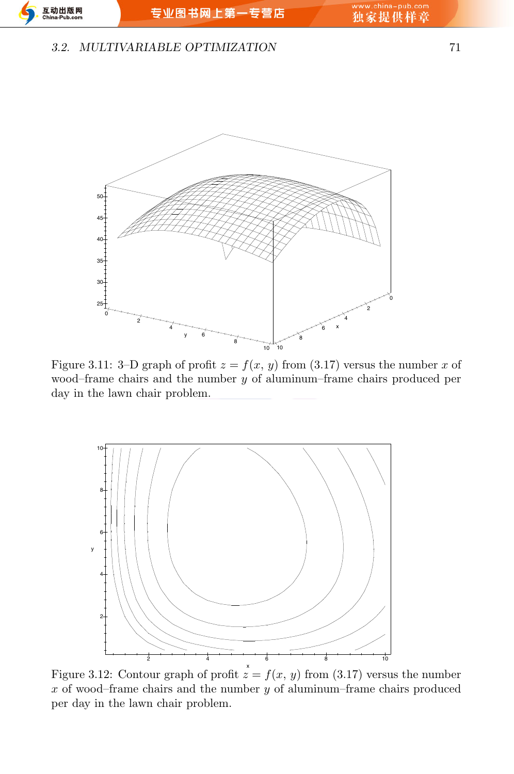#### *3.2. MULTIVARIABLE OPTIMIZATION* 71



Figure 3.11: 3–D graph of profit  $z = f(x, y)$  from (3.17) versus the number *x* of wood–frame chairs and the number *y* of aluminum–frame chairs produced per day in the lawn chair problem.



Figure 3.12: Contour graph of profit  $\dot{z} = f(x, y)$  from (3.17) versus the number *x* of wood–frame chairs and the number *y* of aluminum–frame chairs produced per day in the lawn chair problem.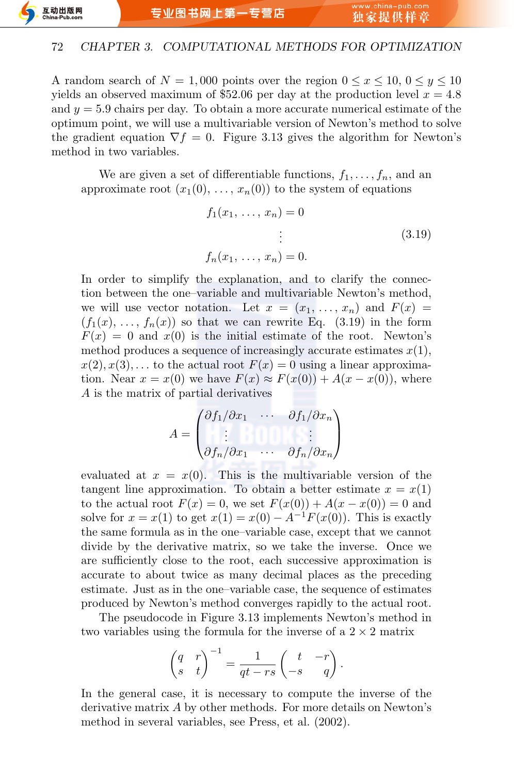A random search of  $N = 1,000$  points over the region  $0 \le x \le 10, 0 \le y \le 10$ yields an observed maximum of \$52.06 per day at the production level *x* = 4*.*8 and  $y = 5.9$  chairs per day. To obtain a more accurate numerical estimate of the optimum point, we will use a multivariable version of Newton's method to solve the gradient equation  $\nabla f = 0$ . Figure 3.13 gives the algorithm for Newton's method in two variables.

We are given a set of differentiable functions,  $f_1, \ldots, f_n$ , and an approximate root  $(x_1(0), \ldots, x_n(0))$  to the system of equations

$$
f_1(x_1, ..., x_n) = 0
$$
  
\n
$$
\vdots
$$
  
\n
$$
f_n(x_1, ..., x_n) = 0.
$$
  
\n(3.19)

In order to simplify the explanation, and to clarify the connection between the one–variable and multivariable Newton's method, we will use vector notation. Let  $x = (x_1, \ldots, x_n)$  and  $F(x) =$  $(f_1(x), \ldots, f_n(x))$  so that we can rewrite Eq. (3.19) in the form  $F(x) = 0$  and  $x(0)$  is the initial estimate of the root. Newton's method produces a sequence of increasingly accurate estimates  $x(1)$ ,  $x(2), x(3), \ldots$  to the actual root  $F(x) = 0$  using a linear approximation. Near  $x = x(0)$  we have  $F(x) \approx F(x(0)) + A(x - x(0))$ , where *A* is the matrix of partial derivatives

$$
A = \begin{pmatrix} \partial f_1/\partial x_1 & \cdots & \partial f_1/\partial x_n \\ \vdots & & \vdots \\ \partial f_n/\partial x_1 & \cdots & \partial f_n/\partial x_n \end{pmatrix}
$$

evaluated at  $x = x(0)$ . This is the multivariable version of the tangent line approximation. To obtain a better estimate  $x = x(1)$ to the actual root  $F(x) = 0$ , we set  $F(x(0)) + A(x - x(0)) = 0$  and solve for  $x = x(1)$  to get  $x(1) = x(0) - A^{-1}F(x(0))$ . This is exactly the same formula as in the one–variable case, except that we cannot divide by the derivative matrix, so we take the inverse. Once we are sufficiently close to the root, each successive approximation is accurate to about twice as many decimal places as the preceding estimate. Just as in the one–variable case, the sequence of estimates produced by Newton's method converges rapidly to the actual root.

The pseudocode in Figure 3.13 implements Newton's method in two variables using the formula for the inverse of a  $2 \times 2$  matrix

$$
\begin{pmatrix} q & r \\ s & t \end{pmatrix}^{-1} = \frac{1}{qt - rs} \begin{pmatrix} t & -r \\ -s & q \end{pmatrix}.
$$

In the general case, it is necessary to compute the inverse of the derivative matrix *A* by other methods. For more details on Newton's method in several variables, see Press, et al. (2002).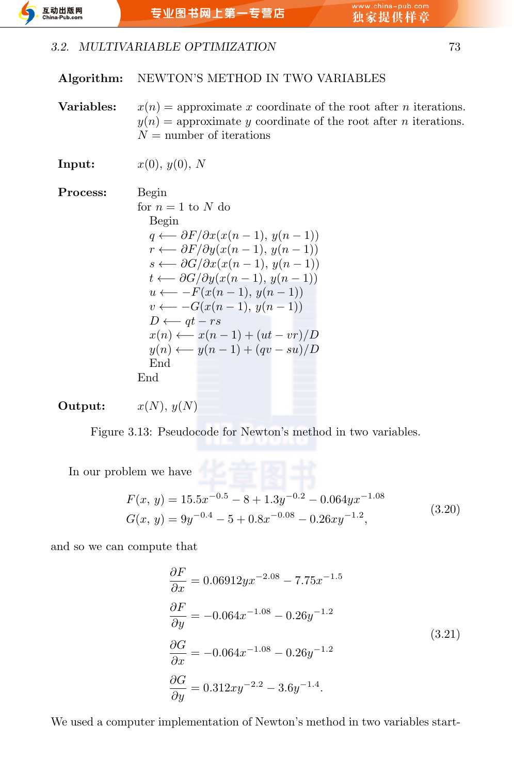

#### *3.2. MULTIVARIABLE OPTIMIZATION* 73

**Algorithm:** NEWTON'S METHOD IN TWO VARIABLES

**Variables:**  $x(n) =$  approximate *x* coordinate of the root after *n* iterations.  $y(n)$  = approximate *y* coordinate of the root after *n* iterations.  $N =$  number of iterations

**Input:**  $x(0), y(0), N$ 

**Process:** Begin for  $n=1$  to  $N$  do Begin *q ←− ∂F/∂x*(*x*(*n −* 1)*, y*(*n −* 1)) *r ←− ∂F/∂y*(*x*(*n −* 1)*, y*(*n −* 1)) *s ←− ∂G/∂x*(*x*(*n −* 1)*, y*(*n −* 1)) *t ←− ∂G/∂y*(*x*(*n −* 1)*, y*(*n −* 1)) *u ←− −F*(*x*(*n −* 1)*, y*(*n −* 1)) *v* ← −*G*( $x(n-1)$ *, y*( $n-1$ )) *D ←− qt − rs x*(*n*) *←− x*(*n −* 1) + (*ut − vr*)*/D y*(*n*) *←− y*(*n −* 1) + (*qv − su*)*/D* End End

**Output:**  $x(N), y(N)$ 

Figure 3.13: Pseudocode for Newton's method in two variables.

In our problem we have  $\hfill\blacksquare$ 

$$
F(x, y) = 15.5x^{-0.5} - 8 + 1.3y^{-0.2} - 0.064yx^{-1.08}
$$
  
\n
$$
G(x, y) = 9y^{-0.4} - 5 + 0.8x^{-0.08} - 0.26xy^{-1.2},
$$
\n(3.20)

and so we can compute that

$$
\frac{\partial F}{\partial x} = 0.06912yx^{-2.08} - 7.75x^{-1.5}
$$
  
\n
$$
\frac{\partial F}{\partial y} = -0.064x^{-1.08} - 0.26y^{-1.2}
$$
  
\n
$$
\frac{\partial G}{\partial x} = -0.064x^{-1.08} - 0.26y^{-1.2}
$$
  
\n
$$
\frac{\partial G}{\partial y} = 0.312xy^{-2.2} - 3.6y^{-1.4}.
$$
\n(3.21)

We used a computer implementation of Newton's method in two variables start-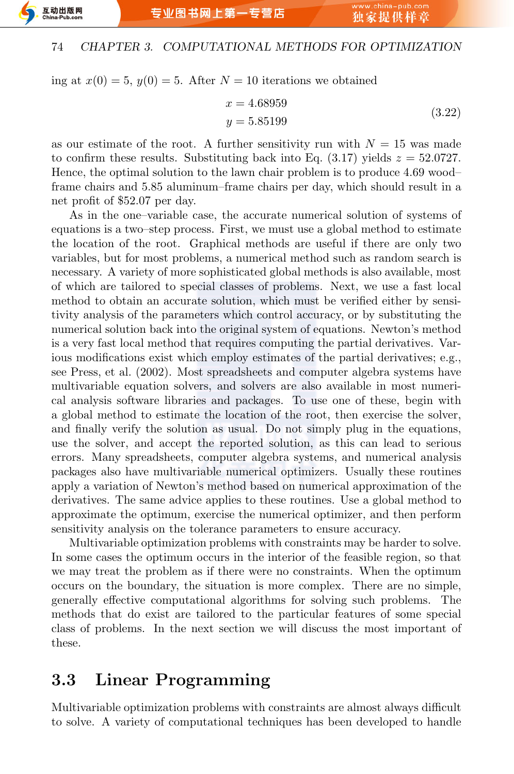

ing at  $x(0) = 5$ ,  $y(0) = 5$ . After  $N = 10$  iterations we obtained

$$
x = 4.68959
$$
  
y = 5.85199 (3.22)

as our estimate of the root. A further sensitivity run with  $N = 15$  was made to confirm these results. Substituting back into Eq.  $(3.17)$  yields  $z = 52.0727$ . Hence, the optimal solution to the lawn chair problem is to produce 4.69 wood– frame chairs and 5.85 aluminum–frame chairs per day, which should result in a net profit of \$52.07 per day.

As in the one–variable case, the accurate numerical solution of systems of equations is a two–step process. First, we must use a global method to estimate the location of the root. Graphical methods are useful if there are only two variables, but for most problems, a numerical method such as random search is necessary. A variety of more sophisticated global methods is also available, most of which are tailored to special classes of problems. Next, we use a fast local method to obtain an accurate solution, which must be verified either by sensitivity analysis of the parameters which control accuracy, or by substituting the numerical solution back into the original system of equations. Newton's method is a very fast local method that requires computing the partial derivatives. Various modifications exist which employ estimates of the partial derivatives; e.g., see Press, et al. (2002). Most spreadsheets and computer algebra systems have multivariable equation solvers, and solvers are also available in most numerical analysis software libraries and packages. To use one of these, begin with a global method to estimate the location of the root, then exercise the solver, and finally verify the solution as usual. Do not simply plug in the equations, use the solver, and accept the reported solution, as this can lead to serious errors. Many spreadsheets, computer algebra systems, and numerical analysis packages also have multivariable numerical optimizers. Usually these routines apply a variation of Newton's method based on numerical approximation of the derivatives. The same advice applies to these routines. Use a global method to approximate the optimum, exercise the numerical optimizer, and then perform sensitivity analysis on the tolerance parameters to ensure accuracy.

Multivariable optimization problems with constraints may be harder to solve. In some cases the optimum occurs in the interior of the feasible region, so that we may treat the problem as if there were no constraints. When the optimum occurs on the boundary, the situation is more complex. There are no simple, generally effective computational algorithms for solving such problems. The methods that do exist are tailored to the particular features of some special class of problems. In the next section we will discuss the most important of these.

### **3.3 Linear Programming**

Multivariable optimization problems with constraints are almost always difficult to solve. A variety of computational techniques has been developed to handle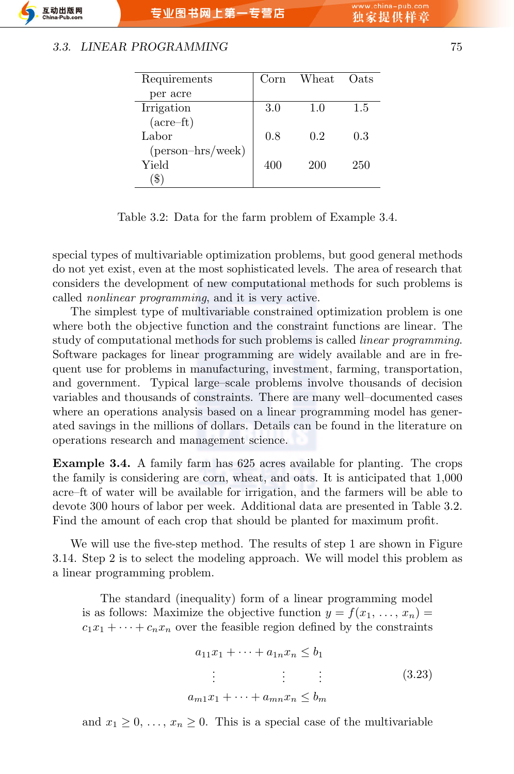#### *3.3. LINEAR PROGRAMMING* 75

| Requirements                | Corn | Wheat | Oats |
|-----------------------------|------|-------|------|
| per acre                    |      |       |      |
| Irrigation                  | 3.0  | 1.0   | 1.5  |
| $(\text{acre} - \text{ft})$ |      |       |      |
| Labor                       | 0.8  | 0.2   | 0.3  |
| $(\text{person-hrs/week})$  |      |       |      |
| Yield                       | 400  | 200   | 250  |
|                             |      |       |      |

Table 3.2: Data for the farm problem of Example 3.4.

special types of multivariable optimization problems, but good general methods do not yet exist, even at the most sophisticated levels. The area of research that considers the development of new computational methods for such problems is called *nonlinear programming*, and it is very active.

The simplest type of multivariable constrained optimization problem is one where both the objective function and the constraint functions are linear. The study of computational methods for such problems is called *linear programming*. Software packages for linear programming are widely available and are in frequent use for problems in manufacturing, investment, farming, transportation, and government. Typical large–scale problems involve thousands of decision variables and thousands of constraints. There are many well–documented cases where an operations analysis based on a linear programming model has generated savings in the millions of dollars. Details can be found in the literature on operations research and management science.

**Example 3.4.** A family farm has 625 acres available for planting. The crops the family is considering are corn, wheat, and oats. It is anticipated that 1,000 acre–ft of water will be available for irrigation, and the farmers will be able to devote 300 hours of labor per week. Additional data are presented in Table 3.2. Find the amount of each crop that should be planted for maximum profit.

We will use the five-step method. The results of step 1 are shown in Figure 3.14. Step 2 is to select the modeling approach. We will model this problem as a linear programming problem.

The standard (inequality) form of a linear programming model is as follows: Maximize the objective function  $y = f(x_1, \ldots, x_n)$  $c_1x_1 + \cdots + c_nx_n$  over the feasible region defined by the constraints

$$
a_{11}x_1 + \dots + a_{1n}x_n \le b_1
$$
  
\n
$$
\vdots \qquad \vdots \qquad \vdots
$$
  
\n
$$
a_{m1}x_1 + \dots + a_{mn}x_n \le b_m
$$
  
\n(3.23)

and  $x_1 \geq 0, \ldots, x_n \geq 0$ . This is a special case of the multivariable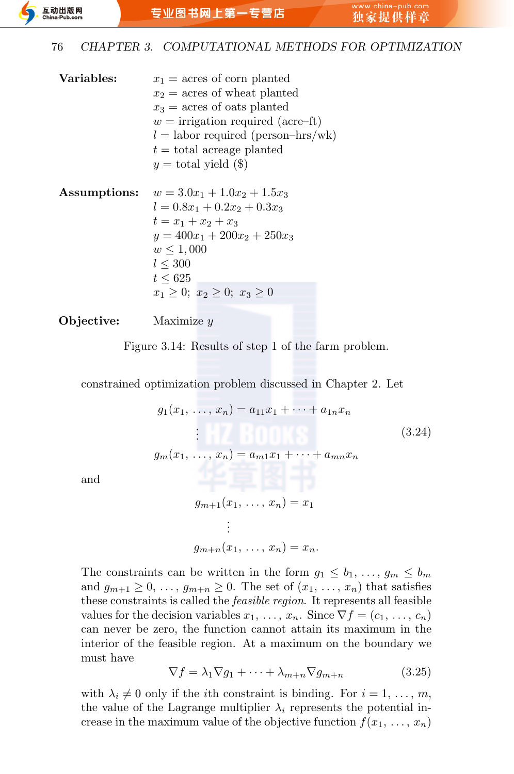- **Variables:**  $x_1$  = acres of corn planted  $x_2$  = acres of wheat planted  $x_3$  = acres of oats planted  $w =$  irrigation required (acre–ft)  $l =$ labor required (person–hrs/wk)  $t =$  total acreage planted  $y =$  total yield  $(\$)$ **Assumptions:**  $w = 3.0x_1 + 1.0x_2 + 1.5x_3$
- $l = 0.8x_1 + 0.2x_2 + 0.3x_3$  $t = x_1 + x_2 + x_3$  $y = 400x_1 + 200x_2 + 250x_3$  $w \le 1,000$ *l ≤* 300 *t ≤* 625  $x_1 \geq 0$ ;  $x_2 \geq 0$ ;  $x_3 \geq 0$

#### **Objective:** Maximize *y*

Figure 3.14: Results of step 1 of the farm problem.

constrained optimization problem discussed in Chapter 2. Let

$$
g_1(x_1, ..., x_n) = a_{11}x_1 + ... + a_{1n}x_n
$$
  
\n
$$
\vdots
$$
  
\n
$$
g_m(x_1, ..., x_n) = a_{m1}x_1 + ... + a_{mn}x_n
$$
  
\n
$$
g_{m+1}(x_1, ..., x_n) = x_1
$$
  
\n(3.24)

and

$$
g_{m+1}(x_1, \ldots, x_n) = x_1
$$

$$
\vdots
$$

$$
g_{m+n}(x_1, \ldots, x_n) = x_n.
$$

The constraints can be written in the form  $g_1 \leq b_1, \ldots, g_m \leq b_m$ and  $g_{m+1} \geq 0, \ldots, g_{m+n} \geq 0$ . The set of  $(x_1, \ldots, x_n)$  that satisfies these constraints is called the *feasible region*. It represents all feasible values for the decision variables  $x_1, \ldots, x_n$ . Since  $\nabla f = (c_1, \ldots, c_n)$ can never be zero, the function cannot attain its maximum in the interior of the feasible region. At a maximum on the boundary we must have

$$
\nabla f = \lambda_1 \nabla g_1 + \dots + \lambda_{m+n} \nabla g_{m+n} \tag{3.25}
$$

with  $\lambda_i \neq 0$  only if the *i*<sup>th</sup> constraint is binding. For  $i = 1, \ldots, m$ , the value of the Lagrange multiplier  $\lambda_i$  represents the potential increase in the maximum value of the objective function  $f(x_1, \ldots, x_n)$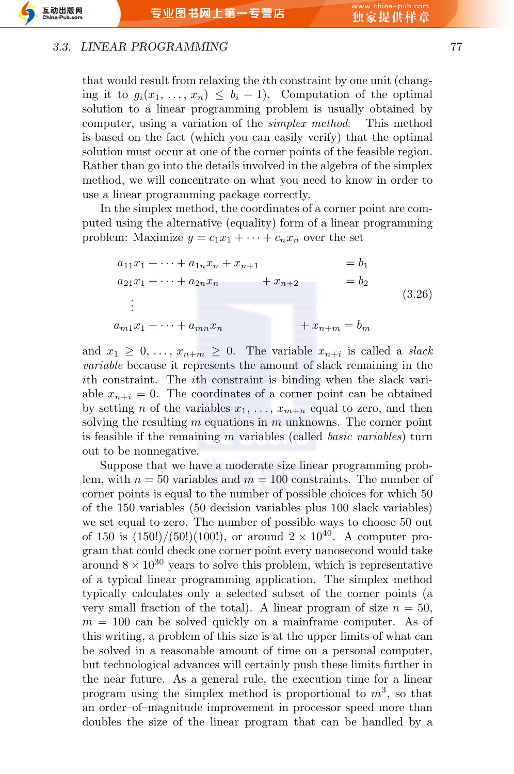#### *3.3. LINEAR PROGRAMMING* 77

互动出版网

 $-$ Pub co

that would result from relaxing the *i*th constraint by one unit (changing it to  $g_i(x_1, \ldots, x_n) \leq b_i + 1$ . Computation of the optimal solution to a linear programming problem is usually obtained by computer, using a variation of the *simplex method*. This method is based on the fact (which you can easily verify) that the optimal solution must occur at one of the corner points of the feasible region. Rather than go into the details involved in the algebra of the simplex method, we will concentrate on what you need to know in order to use a linear programming package correctly.

In the simplex method, the coordinates of a corner point are computed using the alternative (equality) form of a linear programming problem: Maximize  $y = c_1 x_1 + \cdots + c_n x_n$  over the set

$$
a_{11}x_1 + \dots + a_{1n}x_n + x_{n+1} = b_1
$$
  
\n
$$
a_{21}x_1 + \dots + a_{2n}x_n + x_{n+2} = b_2
$$
  
\n
$$
\vdots
$$
  
\n
$$
a_{m1}x_1 + \dots + a_{mn}x_n + x_{n+m} = b_m
$$
  
\n(3.26)

and  $x_1 \geq 0, \ldots, x_{n+m} \geq 0$ . The variable  $x_{n+i}$  is called a *slack variable* because it represents the amount of slack remaining in the *i*th constraint. The *i*th constraint is binding when the slack variable  $x_{n+i} = 0$ . The coordinates of a corner point can be obtained by setting *n* of the variables  $x_1, \ldots, x_{m+n}$  equal to zero, and then solving the resulting *m* equations in *m* unknowns. The corner point is feasible if the remaining *m* variables (called *basic variables*) turn out to be nonnegative.

Suppose that we have a moderate size linear programming problem, with  $n = 50$  variables and  $m = 100$  constraints. The number of corner points is equal to the number of possible choices for which 50 of the 150 variables (50 decision variables plus 100 slack variables) we set equal to zero. The number of possible ways to choose 50 out of 150 is  $(150!)/(50!)(100!)$ , or around  $2 \times 10^{40}$ . A computer program that could check one corner point every nanosecond would take around  $8 \times 10^{30}$  years to solve this problem, which is representative of a typical linear programming application. The simplex method typically calculates only a selected subset of the corner points (a very small fraction of the total). A linear program of size  $n = 50$ ,  $m = 100$  can be solved quickly on a mainframe computer. As of this writing, a problem of this size is at the upper limits of what can be solved in a reasonable amount of time on a personal computer, but technological advances will certainly push these limits further in the near future. As a general rule, the execution time for a linear program using the simplex method is proportional to *m*<sup>3</sup> , so that an order–of–magnitude improvement in processor speed more than doubles the size of the linear program that can be handled by a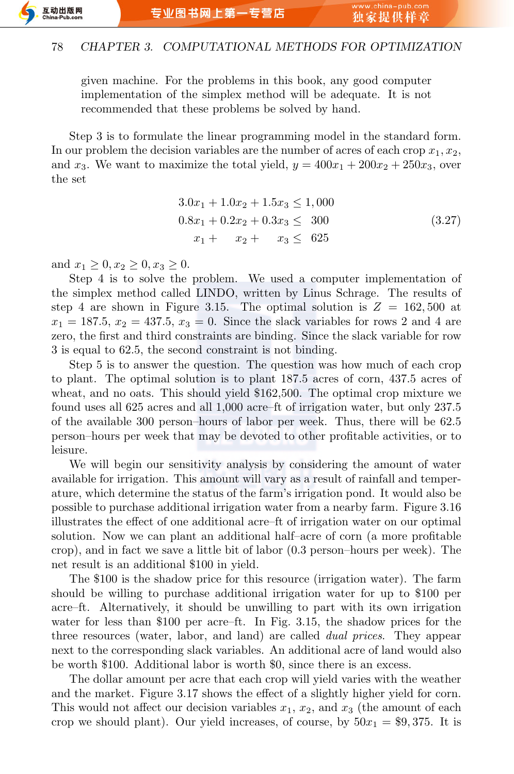given machine. For the problems in this book, any good computer implementation of the simplex method will be adequate. It is not recommended that these problems be solved by hand.

Step 3 is to formulate the linear programming model in the standard form. In our problem the decision variables are the number of acres of each crop *x*1*, x*2, and  $x_3$ . We want to maximize the total yield,  $y = 400x_1 + 200x_2 + 250x_3$ , over the set

$$
3.0x_1 + 1.0x_2 + 1.5x_3 \le 1,000
$$
  

$$
0.8x_1 + 0.2x_2 + 0.3x_3 \le 300
$$
  

$$
x_1 + x_2 + x_3 \le 625
$$
 (3.27)

and  $x_1 \geq 0, x_2 \geq 0, x_3 \geq 0$ .

Step 4 is to solve the problem. We used a computer implementation of the simplex method called LINDO, written by Linus Schrage. The results of step 4 are shown in Figure 3.15. The optimal solution is  $Z = 162,500$  at  $x_1 = 187.5, x_2 = 437.5, x_3 = 0$ . Since the slack variables for rows 2 and 4 are zero, the first and third constraints are binding. Since the slack variable for row 3 is equal to 62*.*5, the second constraint is not binding.

Step 5 is to answer the question. The question was how much of each crop to plant. The optimal solution is to plant 187.5 acres of corn, 437.5 acres of wheat, and no oats. This should yield \$162,500. The optimal crop mixture we found uses all 625 acres and all 1,000 acre–ft of irrigation water, but only 237.5 of the available 300 person–hours of labor per week. Thus, there will be 62.5 person–hours per week that may be devoted to other profitable activities, or to leisure.

We will begin our sensitivity analysis by considering the amount of water available for irrigation. This amount will vary as a result of rainfall and temperature, which determine the status of the farm's irrigation pond. It would also be possible to purchase additional irrigation water from a nearby farm. Figure 3.16 illustrates the effect of one additional acre–ft of irrigation water on our optimal solution. Now we can plant an additional half–acre of corn (a more profitable crop), and in fact we save a little bit of labor (0.3 person–hours per week). The net result is an additional \$100 in yield.

The \$100 is the shadow price for this resource (irrigation water). The farm should be willing to purchase additional irrigation water for up to \$100 per acre–ft. Alternatively, it should be unwilling to part with its own irrigation water for less than \$100 per acre–ft. In Fig. 3.15, the shadow prices for the three resources (water, labor, and land) are called *dual prices*. They appear next to the corresponding slack variables. An additional acre of land would also be worth \$100. Additional labor is worth \$0, since there is an excess.

The dollar amount per acre that each crop will yield varies with the weather and the market. Figure 3.17 shows the effect of a slightly higher yield for corn. This would not affect our decision variables  $x_1, x_2$ , and  $x_3$  (the amount of each crop we should plant). Our yield increases, of course, by  $50x_1 = $9,375$ . It is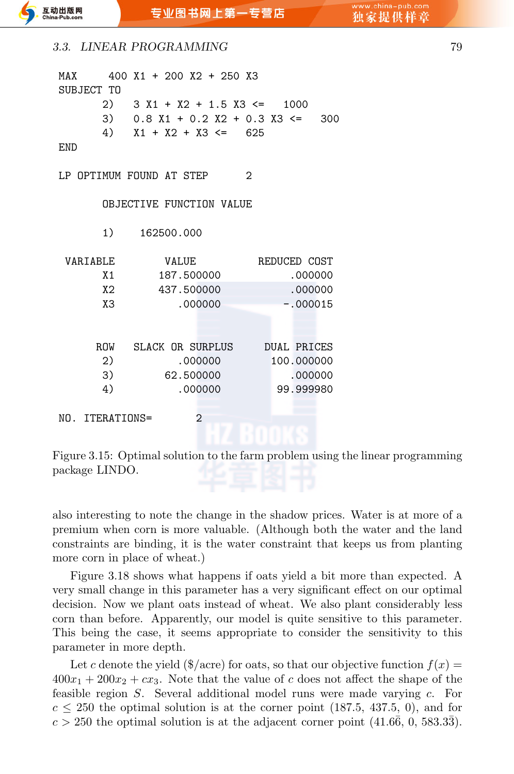| MAX        400  X1  +  200  X2  +  250  X3 |    |                                       |                |               |            |  |
|--------------------------------------------|----|---------------------------------------|----------------|---------------|------------|--|
| SUBJECT TO                                 |    |                                       |                |               |            |  |
|                                            |    | 2) $3 X1 + X2 + 1.5 X3 \le 1000$      |                |               |            |  |
|                                            |    | 3) $0.8 X1 + 0.2 X2 + 0.3 X3 \le 300$ |                |               |            |  |
|                                            |    | 4) $X1 + X2 + X3 \le 625$             |                |               |            |  |
| END                                        |    |                                       |                |               |            |  |
|                                            |    |                                       |                |               |            |  |
| LP OPTIMUM FOUND AT STEP                   |    |                                       |                | $\mathcal{L}$ |            |  |
|                                            |    |                                       |                |               |            |  |
|                                            |    | OBJECTIVE FUNCTION VALUE              |                |               |            |  |
|                                            |    |                                       |                |               |            |  |
|                                            |    | 1) 162500.000                         |                |               |            |  |
|                                            |    |                                       |                |               |            |  |
| VARIABLE                                   |    |                                       | VALUE          | REDUCED COST  |            |  |
|                                            | X1 |                                       | 187.500000     |               | .000000    |  |
|                                            | X2 | 437.500000                            |                |               | .000000    |  |
|                                            | X3 |                                       | .000000        |               | $-.000015$ |  |
|                                            |    |                                       |                |               |            |  |
|                                            |    |                                       |                |               |            |  |
|                                            |    | ROW SLACK OR SURPLUS DUAL PRICES      |                |               |            |  |
|                                            | 2) |                                       | .000000        |               | 100.000000 |  |
|                                            | 3) |                                       | 62.500000      |               | .000000    |  |
|                                            | 4) |                                       | .000000        |               | 99,999980  |  |
|                                            |    |                                       |                |               |            |  |
| NO. ITERATIONS=                            |    |                                       | $\overline{2}$ |               |            |  |
|                                            |    |                                       |                |               |            |  |

Figure 3.15: Optimal solution to the farm problem using the linear programming package LINDO.

also interesting to note the change in the shadow prices. Water is at more of a premium when corn is more valuable. (Although both the water and the land constraints are binding, it is the water constraint that keeps us from planting more corn in place of wheat.)

Figure 3.18 shows what happens if oats yield a bit more than expected. A very small change in this parameter has a very significant effect on our optimal decision. Now we plant oats instead of wheat. We also plant considerably less corn than before. Apparently, our model is quite sensitive to this parameter. This being the case, it seems appropriate to consider the sensitivity to this parameter in more depth.

Let *c* denote the yield ( $\frac{f}{a}$  acre) for oats, so that our objective function  $f(x) =$  $400x_1 + 200x_2 + cx_3$ . Note that the value of *c* does not affect the shape of the feasible region *S*. Several additional model runs were made varying *c*. For  $c \le 250$  the optimal solution is at the corner point (187.5, 437.5, 0), and for  $c > 250$  the optimal solution is at the adjacent corner point  $(41.66, 0, 583.33)$ .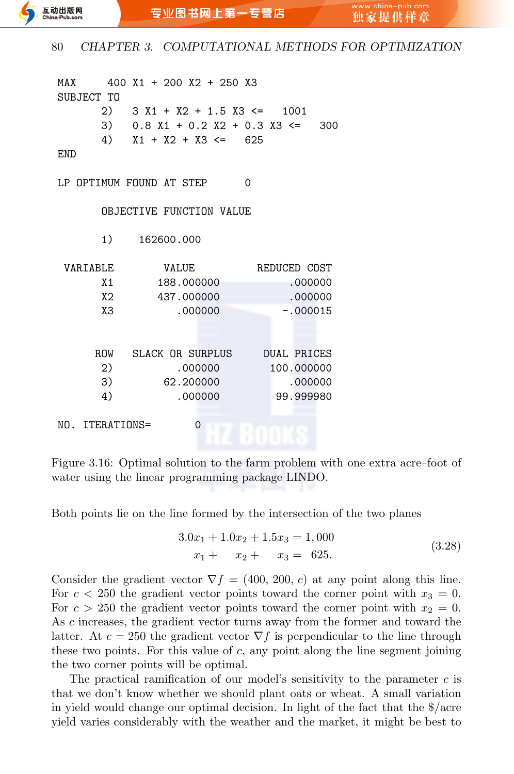```
MAX 400 X1 + 200 X2 + 250 X3
SUBJECT TO
     2) 3 X1 + X2 + 1.5 X3 \le 10013) 0.8 X1 + 0.2 X2 + 0.3 X3 <= 300
     4) X1 + X2 + X3 \le 625END
LP OPTIMUM FOUND AT STEP 0
     OBJECTIVE FUNCTION VALUE
     1) 162600.000
VARIABLE VALUE REDUCED COST
     X1 188.000000 .000000
     X2 437.000000 .000000
     X3 .000000 -.000015
    ROW SLACK OR SURPLUS DUAL PRICES
     2) .000000 100.000000
     3) 62.200000 .000000
     4) .000000 99.999980
NO. ITERATIONS= 0
```
Figure 3.16: Optimal solution to the farm problem with one extra acre–foot of water using the linear programming package LINDO.

Both points lie on the line formed by the intersection of the two planes

$$
3.0x_1 + 1.0x_2 + 1.5x_3 = 1,000
$$
  

$$
x_1 + x_2 + x_3 = 625.
$$
 (3.28)

Consider the gradient vector  $\nabla f = (400, 200, c)$  at any point along this line. For  $c < 250$  the gradient vector points toward the corner point with  $x_3 = 0$ . For  $c > 250$  the gradient vector points toward the corner point with  $x_2 = 0$ . As *c* increases, the gradient vector turns away from the former and toward the latter. At  $c = 250$  the gradient vector  $\nabla f$  is perpendicular to the line through these two points. For this value of *c*, any point along the line segment joining the two corner points will be optimal.

The practical ramification of our model's sensitivity to the parameter *c* is that we don't know whether we should plant oats or wheat. A small variation in yield would change our optimal decision. In light of the fact that the \$/acre yield varies considerably with the weather and the market, it might be best to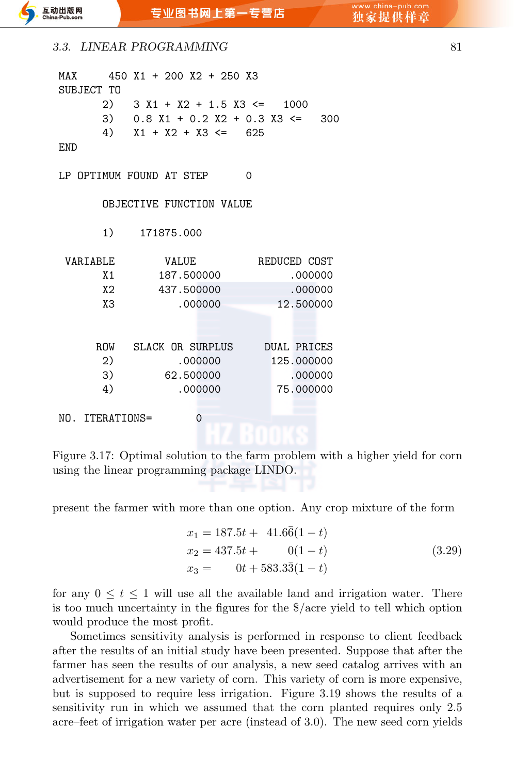#### **3.3. LINEAR PROGRAMMING** 81

| MAX                      |    | 450 X1 + 200 X2 + 250 X3              |            |                |          |  |              |  |
|--------------------------|----|---------------------------------------|------------|----------------|----------|--|--------------|--|
| SUBJECT TO               |    |                                       |            |                |          |  |              |  |
|                          |    | 2) $3 X1 + X2 + 1.5 X3 \le 1000$      |            |                |          |  |              |  |
|                          |    | 3) $0.8 X1 + 0.2 X2 + 0.3 X3 \le 300$ |            |                |          |  |              |  |
|                          |    | 4) $X1 + X2 + X3 \le 625$             |            |                |          |  |              |  |
| <b>END</b>               |    |                                       |            |                |          |  |              |  |
| LP OPTIMUM FOUND AT STEP |    |                                       |            |                | $\Omega$ |  |              |  |
|                          |    | OBJECTIVE FUNCTION VALUE              |            |                |          |  |              |  |
|                          |    | 1) 171875,000                         |            |                |          |  |              |  |
| VARIABLE                 |    |                                       | VALUE      |                |          |  | REDUCED COST |  |
|                          | X1 |                                       | 187.500000 |                |          |  | .000000      |  |
|                          | X2 |                                       | 437.500000 |                |          |  | .000000      |  |
|                          | хз |                                       | .000000    |                |          |  | 12.500000    |  |
|                          |    |                                       |            |                |          |  |              |  |
|                          |    | ROW SLACK OR SURPLUS DUAL PRICES      |            |                |          |  |              |  |
|                          | 2) |                                       |            | .000000        |          |  | 125.000000   |  |
|                          | 3) |                                       |            | 62.500000      |          |  | .000000      |  |
|                          | 4) |                                       |            | .000000        |          |  | 75,000000    |  |
|                          |    |                                       |            |                |          |  |              |  |
| NO. ITERATIONS=          |    |                                       |            | $\overline{0}$ |          |  |              |  |
|                          |    |                                       |            |                |          |  |              |  |

Figure 3.17: Optimal solution to the farm problem with a higher yield for corn using the linear programming package LINDO.

present the farmer with more than one option. Any crop mixture of the form

$$
x_1 = 187.5t + 41.6\overline{6}(1-t)
$$
  
\n
$$
x_2 = 437.5t + 0(1-t)
$$
  
\n
$$
x_3 = 0t + 583.3\overline{3}(1-t)
$$
\n(3.29)

for any  $0 \le t \le 1$  will use all the available land and irrigation water. There is too much uncertainty in the figures for the \$/acre yield to tell which option would produce the most profit.

Sometimes sensitivity analysis is performed in response to client feedback after the results of an initial study have been presented. Suppose that after the farmer has seen the results of our analysis, a new seed catalog arrives with an advertisement for a new variety of corn. This variety of corn is more expensive, but is supposed to require less irrigation. Figure 3.19 shows the results of a sensitivity run in which we assumed that the corn planted requires only 2.5 acre–feet of irrigation water per acre (instead of 3.0). The new seed corn yields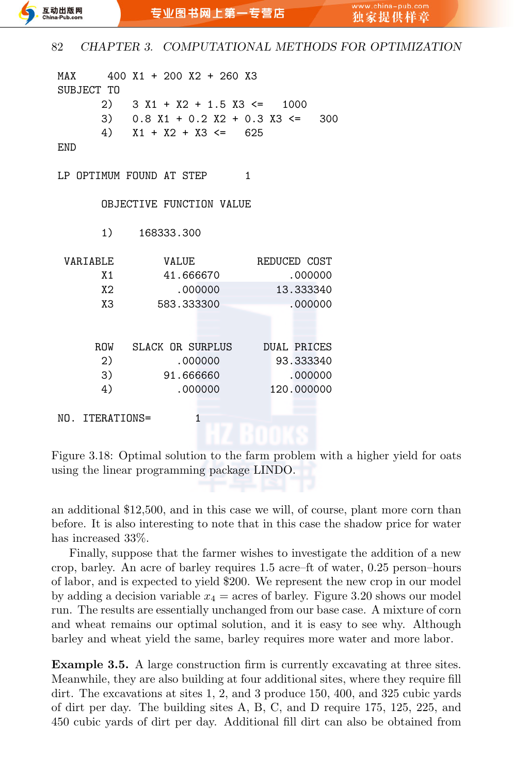| MAX                      |    | 400 X1 + 200 X2 + 260 X3          |            |                |  |                |                    |            |     |
|--------------------------|----|-----------------------------------|------------|----------------|--|----------------|--------------------|------------|-----|
| SUBJECT TO               |    |                                   |            |                |  |                |                    |            |     |
|                          |    | 2) $3 X1 + X2 + 1.5 X3 \le 1000$  |            |                |  |                |                    |            |     |
|                          |    | 3) $0.8 X1 + 0.2 X2 + 0.3 X3 \le$ |            |                |  |                |                    |            | 300 |
|                          |    | 4) $X1 + X2 + X3 \le 625$         |            |                |  |                |                    |            |     |
| END                      |    |                                   |            |                |  |                |                    |            |     |
|                          |    |                                   |            |                |  |                |                    |            |     |
| LP OPTIMUM FOUND AT STEP |    |                                   |            |                |  | $\overline{1}$ |                    |            |     |
|                          |    |                                   |            |                |  |                |                    |            |     |
|                          |    | OBJECTIVE FUNCTION VALUE          |            |                |  |                |                    |            |     |
|                          |    |                                   |            |                |  |                |                    |            |     |
|                          |    | 1) 168333.300                     |            |                |  |                |                    |            |     |
| VARIABLE                 |    |                                   | VALUE      |                |  |                | REDUCED COST       |            |     |
|                          | X1 |                                   | 41.666670  |                |  |                |                    | .000000    |     |
|                          | X2 |                                   |            | .000000        |  |                |                    | 13.333340  |     |
|                          |    |                                   |            |                |  |                |                    |            |     |
|                          | X3 |                                   | 583.333300 |                |  |                |                    | .000000    |     |
|                          |    |                                   |            |                |  |                |                    |            |     |
|                          |    |                                   |            |                |  |                |                    |            |     |
|                          |    | ROW SLACK OR SURPLUS              |            |                |  |                | <b>DUAL PRICES</b> |            |     |
|                          | 2) |                                   |            | .000000        |  |                | 93.333340          |            |     |
|                          | 3) |                                   | 91.666660  |                |  |                |                    | .000000    |     |
|                          | 4) |                                   |            | .000000        |  |                |                    | 120.000000 |     |
|                          |    |                                   |            |                |  |                |                    |            |     |
| NO. ITERATIONS=          |    |                                   |            | $\overline{1}$ |  |                |                    |            |     |
|                          |    |                                   |            |                |  |                |                    |            |     |

Figure 3.18: Optimal solution to the farm problem with a higher yield for oats using the linear programming package LINDO.

an additional \$12,500, and in this case we will, of course, plant more corn than before. It is also interesting to note that in this case the shadow price for water has increased 33%.

Finally, suppose that the farmer wishes to investigate the addition of a new crop, barley. An acre of barley requires 1.5 acre–ft of water, 0.25 person–hours of labor, and is expected to yield \$200. We represent the new crop in our model by adding a decision variable  $x_4$  = acres of barley. Figure 3.20 shows our model run. The results are essentially unchanged from our base case. A mixture of corn and wheat remains our optimal solution, and it is easy to see why. Although barley and wheat yield the same, barley requires more water and more labor.

**Example 3.5.** A large construction firm is currently excavating at three sites. Meanwhile, they are also building at four additional sites, where they require fill dirt. The excavations at sites 1, 2, and 3 produce 150, 400, and 325 cubic yards of dirt per day. The building sites A, B, C, and D require 175, 125, 225, and 450 cubic yards of dirt per day. Additional fill dirt can also be obtained from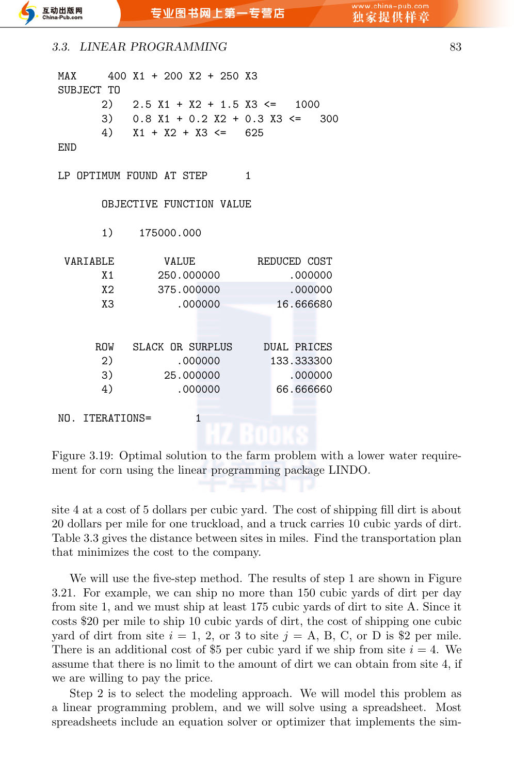| 3.3. LINEAR PROGRAMMING |  |
|-------------------------|--|
|                         |  |

| MAX                      |    |               |            | 400 X1 + 200 X2 + 250 X3              |                |              |  |
|--------------------------|----|---------------|------------|---------------------------------------|----------------|--------------|--|
| SUBJECT TO               |    |               |            |                                       |                |              |  |
|                          |    |               |            | 2) $2.5 X1 + X2 + 1.5 X3 \le 1000$    |                |              |  |
|                          |    |               |            | 3) $0.8 X1 + 0.2 X2 + 0.3 X3 \le 300$ |                |              |  |
|                          |    |               |            | 4) $X1 + X2 + X3 \le 625$             |                |              |  |
| END                      |    |               |            |                                       |                |              |  |
| LP OPTIMUM FOUND AT STEP |    |               |            |                                       | $\overline{1}$ |              |  |
|                          |    |               |            | OBJECTIVE FUNCTION VALUE              |                |              |  |
|                          |    | 1) 175000.000 |            |                                       |                |              |  |
| VARIABLE                 |    |               | VALUE      |                                       |                | REDUCED COST |  |
|                          | X1 |               | 250.000000 |                                       |                | .000000      |  |
|                          | X2 |               | 375.000000 |                                       |                | .000000      |  |
|                          | X3 |               | .000000    |                                       |                | 16.666680    |  |
|                          |    |               |            |                                       |                |              |  |
|                          |    |               |            | ROW SLACK OR SURPLUS DUAL PRICES      |                |              |  |
|                          | 2) |               | .000000    |                                       | 133.333300     |              |  |
|                          | 3) |               | 25.000000  |                                       |                | .000000      |  |
|                          | 4) |               | .000000    |                                       |                | 66,666660    |  |
|                          |    |               |            |                                       |                |              |  |
| NO. ITERATIONS=          |    |               | 1          |                                       |                |              |  |
|                          |    |               |            |                                       |                |              |  |

Figure 3.19: Optimal solution to the farm problem with a lower water requirement for corn using the linear programming package LINDO.

site 4 at a cost of 5 dollars per cubic yard. The cost of shipping fill dirt is about 20 dollars per mile for one truckload, and a truck carries 10 cubic yards of dirt. Table 3.3 gives the distance between sites in miles. Find the transportation plan that minimizes the cost to the company.

We will use the five-step method. The results of step 1 are shown in Figure 3.21. For example, we can ship no more than 150 cubic yards of dirt per day from site 1, and we must ship at least 175 cubic yards of dirt to site A. Since it costs \$20 per mile to ship 10 cubic yards of dirt, the cost of shipping one cubic yard of dirt from site  $i = 1, 2$ , or 3 to site  $j = A$ , B, C, or D is \$2 per mile. There is an additional cost of \$5 per cubic yard if we ship from site  $i = 4$ . We assume that there is no limit to the amount of dirt we can obtain from site 4, if we are willing to pay the price.

Step 2 is to select the modeling approach. We will model this problem as a linear programming problem, and we will solve using a spreadsheet. Most spreadsheets include an equation solver or optimizer that implements the sim-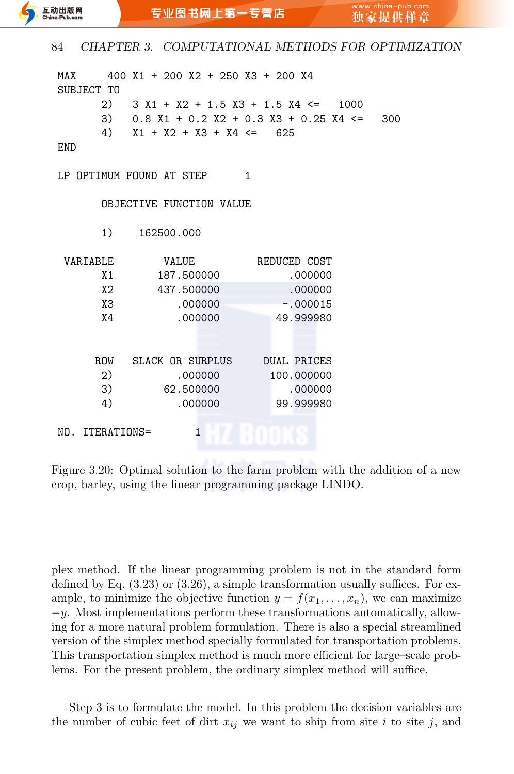| MAX             |    | 400 X1 + 200 X2 + 250 X3 + 200 X4 |         |  |                                                 |  |
|-----------------|----|-----------------------------------|---------|--|-------------------------------------------------|--|
| SUBJECT TO      |    |                                   |         |  |                                                 |  |
|                 |    |                                   |         |  | 2) $3 X1 + X2 + 1.5 X3 + 1.5 X4 \le 1000$       |  |
|                 |    |                                   |         |  | 3) $0.8 X1 + 0.2 X2 + 0.3 X3 + 0.25 X4 \le 300$ |  |
|                 |    | 4) $X1 + X2 + X3 + X4 \le 625$    |         |  |                                                 |  |
| END             |    |                                   |         |  |                                                 |  |
|                 |    | LP OPTIMUM FOUND AT STEP          | 1       |  |                                                 |  |
|                 |    | OBJECTIVE FUNCTION VALUE          |         |  |                                                 |  |
|                 |    | 1) 162500.000                     |         |  |                                                 |  |
| VARIABLE        |    | VALUE                             |         |  | REDUCED COST                                    |  |
|                 | X1 | 187.500000                        |         |  | .000000                                         |  |
|                 | X2 | 437.500000                        |         |  | .000000                                         |  |
|                 | X3 |                                   | .000000 |  | $-.000015$                                      |  |
|                 | X4 |                                   | .000000 |  | 49.999980                                       |  |
|                 |    |                                   |         |  |                                                 |  |
|                 |    | ROW SLACK OR SURPLUS DUAL PRICES  |         |  |                                                 |  |
|                 | 2) |                                   | .000000 |  | 100.000000                                      |  |
|                 | 3) | 62.500000                         |         |  | .000000                                         |  |
|                 | 4) |                                   | .000000 |  | 99.999980                                       |  |
| NO. ITERATIONS= |    |                                   | 1       |  |                                                 |  |

Figure 3.20: Optimal solution to the farm problem with the addition of a new crop, barley, using the linear programming package LINDO.

plex method. If the linear programming problem is not in the standard form defined by Eq. (3.23) or (3.26), a simple transformation usually suffices. For example, to minimize the objective function  $y = f(x_1, \ldots, x_n)$ , we can maximize *−y*. Most implementations perform these transformations automatically, allowing for a more natural problem formulation. There is also a special streamlined version of the simplex method specially formulated for transportation problems. This transportation simplex method is much more efficient for large–scale problems. For the present problem, the ordinary simplex method will suffice.

Step 3 is to formulate the model. In this problem the decision variables are the number of cubic feet of dirt  $x_{ij}$  we want to ship from site *i* to site *j*, and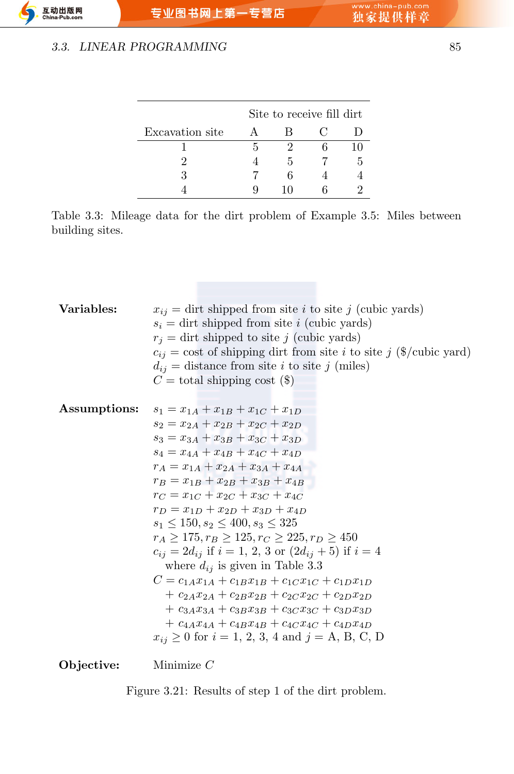#### *3.3. LINEAR PROGRAMMING* 85

|                 | Site to receive fill dirt |    |                |               |  |  |  |  |  |
|-----------------|---------------------------|----|----------------|---------------|--|--|--|--|--|
| Excavation site |                           | R  | $\mathfrak{g}$ |               |  |  |  |  |  |
|                 | h                         |    |                | 10            |  |  |  |  |  |
|                 |                           | 5  |                | $\mathcal{L}$ |  |  |  |  |  |
|                 |                           |    |                |               |  |  |  |  |  |
|                 |                           | 10 |                |               |  |  |  |  |  |

Table 3.3: Mileage data for the dirt problem of Example 3.5: Miles between building sites.

| Variables:   | $x_{ij}$ = dirt shipped from site <i>i</i> to site <i>j</i> (cubic yards)<br>$s_i = \text{dit}$ shipped from site i (cubic yards)<br>$r_i = \text{dit}$ shipped to site j (cubic yards)<br>$c_{ij}$ = cost of shipping dirt from site <i>i</i> to site <i>j</i> (\$/cubic yard)<br>$d_{ij}$ = distance from site <i>i</i> to site <i>j</i> (miles)<br>$C =$ total shipping cost (\$)                                                                                                                                                                                                                                                                                                                                                                                                                                                                                                                                 |
|--------------|----------------------------------------------------------------------------------------------------------------------------------------------------------------------------------------------------------------------------------------------------------------------------------------------------------------------------------------------------------------------------------------------------------------------------------------------------------------------------------------------------------------------------------------------------------------------------------------------------------------------------------------------------------------------------------------------------------------------------------------------------------------------------------------------------------------------------------------------------------------------------------------------------------------------|
| Assumptions: | $s_1 = x_{1A} + x_{1B} + x_{1C} + x_{1D}$<br>$s_2 = x_{24} + x_{2B} + x_{2C} + x_{2D}$<br>$s_3 = x_{3A} + x_{3B} + x_{3C} + x_{3D}$<br>$s_4 = x_{4A} + x_{4B} + x_{4C} + x_{4D}$<br>$r_A = x_{1A} + x_{2A} + x_{3A} + x_{4A}$<br>$r_B = x_{1B} + x_{2B} + x_{3B} + x_{4B}$<br>$r_C = x_{1C} + x_{2C} + x_{3C} + x_{4C}$<br>$r_D = x_{1D} + x_{2D} + x_{3D} + x_{4D}$<br>$s_1 < 150$ , $s_2 < 400$ , $s_3 < 325$<br>$r_A > 175, r_B \ge 125, r_C \ge 225, r_D \ge 450$<br>$c_{ij} = 2d_{ij}$ if $i = 1, 2, 3$ or $(2d_{ij} + 5)$ if $i = 4$<br>where $d_{ij}$ is given in Table 3.3<br>$C = c_{1A}x_{1A} + c_{1B}x_{1B} + c_{1C}x_{1C} + c_{1D}x_{1D}$<br>$+ c_{2A}x_{2A} + c_{2B}x_{2B} + c_{2C}x_{2C} + c_{2D}x_{2D}$<br>$+ c_{3A}x_{3A} + c_{3B}x_{3B} + c_{3C}x_{3C} + c_{3D}x_{3D}$<br>$+ c_{4A}x_{4A} + c_{4B}x_{4B} + c_{4C}x_{4C} + c_{4D}x_{4D}$<br>$x_{ij} \ge 0$ for $i = 1, 2, 3, 4$ and $j = A, B, C, D$ |

#### **Objective:** Minimize *C*

Figure 3.21: Results of step 1 of the dirt problem.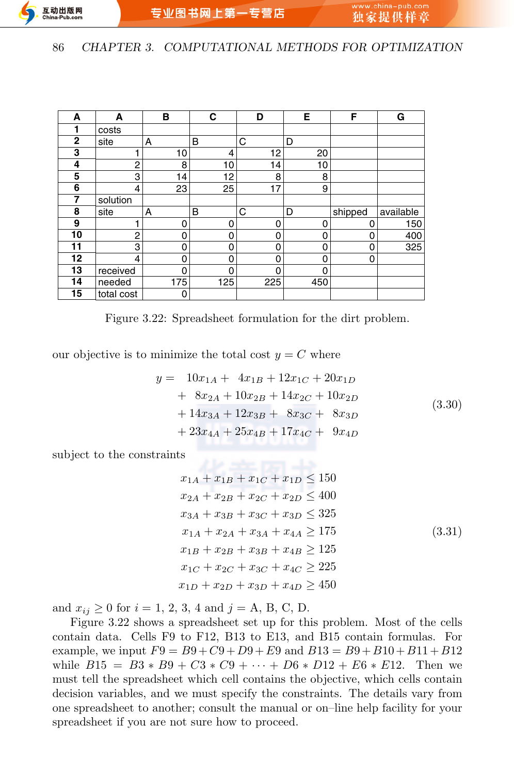| A            | A          | в   | С   | D   | Е   | F        | G         |
|--------------|------------|-----|-----|-----|-----|----------|-----------|
|              | costs      |     |     |     |     |          |           |
| $\mathbf{2}$ | site       | A   | B   | C   | D   |          |           |
| 3            |            | 10  | 4   | 12  | 20  |          |           |
| 4            | 2          | 8   | 10  | 14  | 10  |          |           |
| 5            | 3          | 14  | 12  | 8   | 8   |          |           |
| 6            | 4          | 23  | 25  | 17  | 9   |          |           |
| 7            | solution   |     |     |     |     |          |           |
| 8            | site       | A   | B   | C   | D   | shipped  | available |
| 9            |            | 0   | 0   | 0   | 0   | 0        | 150       |
| 10           | 2          | 0   | 0   | 0   | 0   | 0        | 400       |
| 11           | 3          | 0   | 0   | 0   | 0   | $\Omega$ | 325       |
| 12           | 4          | 0   | 0   | 0   | 0   | 0        |           |
| 13           | received   | 0   | 0   | 0   | 0   |          |           |
| 14           | needed     | 175 | 125 | 225 | 450 |          |           |
| 15           | total cost | 0   |     |     |     |          |           |

Figure 3.22: Spreadsheet formulation for the dirt problem.

our objective is to minimize the total cost  $y = C$  where

$$
y = 10x_{1A} + 4x_{1B} + 12x_{1C} + 20x_{1D}
$$
  
+ 8x\_{2A} + 10x\_{2B} + 14x\_{2C} + 10x\_{2D}  
+ 14x\_{3A} + 12x\_{3B} + 8x\_{3C} + 8x\_{3D}  
+ 23x\_{4A} + 25x\_{4B} + 17x\_{4C} + 9x\_{4D} (3.30)

subject to the constraints

$$
x_{1A} + x_{1B} + x_{1C} + x_{1D} \le 150
$$
  
\n
$$
x_{2A} + x_{2B} + x_{2C} + x_{2D} \le 400
$$
  
\n
$$
x_{3A} + x_{3B} + x_{3C} + x_{3D} \le 325
$$
  
\n
$$
x_{1A} + x_{2A} + x_{3A} + x_{4A} \ge 175
$$
  
\n
$$
x_{1B} + x_{2B} + x_{3B} + x_{4B} \ge 125
$$
  
\n
$$
x_{1C} + x_{2C} + x_{3C} + x_{4C} \ge 225
$$
  
\n
$$
x_{1D} + x_{2D} + x_{3D} + x_{4D} \ge 450
$$

and  $x_{ij} \ge 0$  for  $i = 1, 2, 3, 4$  and  $j = A, B, C, D$ .

Figure 3.22 shows a spreadsheet set up for this problem. Most of the cells contain data. Cells F9 to F12, B13 to E13, and B15 contain formulas. For example, we input  $F9 = B9 + C9 + D9 + E9$  and  $B13 = B9 + B10 + B11 + B12$ while  $B15 = B3 * B9 + C3 * C9 + \cdots + D6 * D12 + E6 * E12$ . Then we must tell the spreadsheet which cell contains the objective, which cells contain decision variables, and we must specify the constraints. The details vary from one spreadsheet to another; consult the manual or on–line help facility for your spreadsheet if you are not sure how to proceed.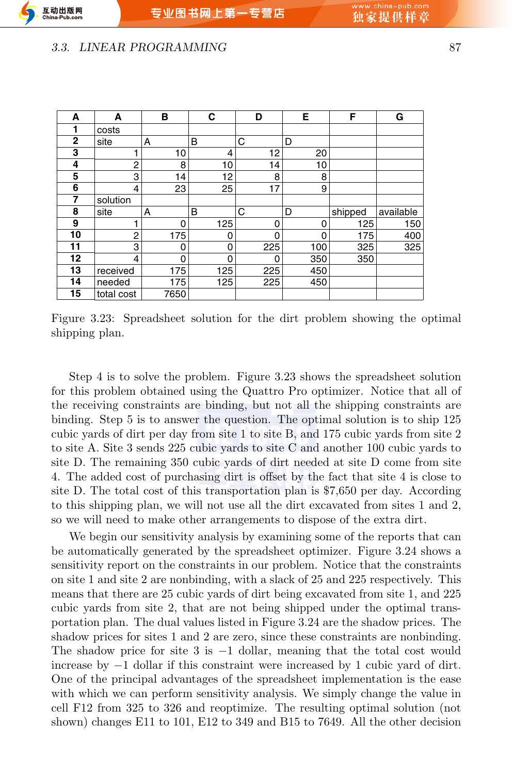#### **3.3. LINEAR PROGRAMMING** 87

互动出版网

 $ina-Puh$ 

| A               | A          | в        | C        | D   | E   | F       | G         |
|-----------------|------------|----------|----------|-----|-----|---------|-----------|
|                 | costs      |          |          |     |     |         |           |
| $\overline{2}$  | site       | A        | B        | C   | D   |         |           |
| 3               |            | 10       | 4        | 12  | 20  |         |           |
| 4               | 2          | 8        | 10       | 14  | 10  |         |           |
| 5               | 3          | 14       | 12       | 8   | 8   |         |           |
| 6               | 4          | 23       | 25       | 17  | 9   |         |           |
| 7               | solution   |          |          |     |     |         |           |
| 8               | site       | A        | B        | C   | D   | shipped | available |
| 9               |            | 0        | 125      | 0   | 0   | 125     | 150       |
| 10              | 2          | 175      | 0        | 0   | 0   | 175     | 400       |
| 11              | 3          | $\Omega$ | 0        | 225 | 100 | 325     | 325       |
| 12 <sub>2</sub> | 4          | $\Omega$ | $\Omega$ | 0   | 350 | 350     |           |
| 13              | received   | 175      | 125      | 225 | 450 |         |           |
| 14              | needed     | 175      | 125      | 225 | 450 |         |           |
| 15              | total cost | 7650     |          |     |     |         |           |

Figure 3.23: Spreadsheet solution for the dirt problem showing the optimal shipping plan.

Step 4 is to solve the problem. Figure 3.23 shows the spreadsheet solution for this problem obtained using the Quattro Pro optimizer. Notice that all of the receiving constraints are binding, but not all the shipping constraints are binding. Step 5 is to answer the question. The optimal solution is to ship 125 cubic yards of dirt per day from site 1 to site B, and 175 cubic yards from site 2 to site A. Site 3 sends 225 cubic yards to site C and another 100 cubic yards to site D. The remaining 350 cubic yards of dirt needed at site D come from site 4. The added cost of purchasing dirt is offset by the fact that site 4 is close to site D. The total cost of this transportation plan is \$7,650 per day. According to this shipping plan, we will not use all the dirt excavated from sites 1 and 2, so we will need to make other arrangements to dispose of the extra dirt.

We begin our sensitivity analysis by examining some of the reports that can be automatically generated by the spreadsheet optimizer. Figure 3.24 shows a sensitivity report on the constraints in our problem. Notice that the constraints on site 1 and site 2 are nonbinding, with a slack of 25 and 225 respectively. This means that there are 25 cubic yards of dirt being excavated from site 1, and 225 cubic yards from site 2, that are not being shipped under the optimal transportation plan. The dual values listed in Figure 3.24 are the shadow prices. The shadow prices for sites 1 and 2 are zero, since these constraints are nonbinding. The shadow price for site 3 is *−*1 dollar, meaning that the total cost would increase by *−*1 dollar if this constraint were increased by 1 cubic yard of dirt. One of the principal advantages of the spreadsheet implementation is the ease with which we can perform sensitivity analysis. We simply change the value in cell F12 from 325 to 326 and reoptimize. The resulting optimal solution (not shown) changes E11 to 101, E12 to 349 and B15 to 7649. All the other decision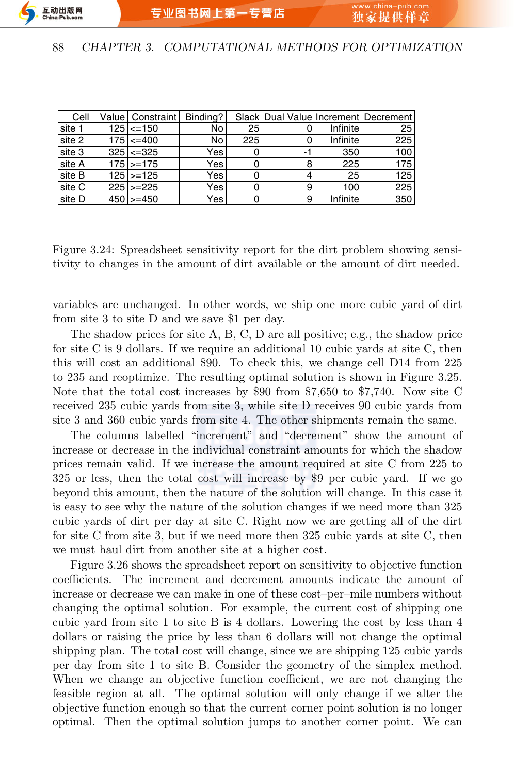

| Cell   | Value   Constraint | Binding? |     |    |          | Slack Dual Value Increment Decrement |
|--------|--------------------|----------|-----|----|----------|--------------------------------------|
| site 1 | $125$ <= 150       | No.      | 25  |    | Infinite | 25                                   |
| site 2 | $175 \le 400$      | No.      | 225 |    | Infinite | 225                                  |
| site 3 | $325$ $\leq$ 325   | Yes      |     | -1 | 350      | 100                                  |
| site A | $175$ >=175        | Yes      |     | 8  | 225      | 175                                  |
| site B | $125$ >=125        | Yes      |     | 4  | 25       | 125                                  |
| site C | $225$ $\geq$ $225$ | Yes      |     | 9  | 100      | 225                                  |
| site D | $450$ >=450        | Yes      |     | 9  | Infinite | 350                                  |

Figure 3.24: Spreadsheet sensitivity report for the dirt problem showing sensitivity to changes in the amount of dirt available or the amount of dirt needed.

variables are unchanged. In other words, we ship one more cubic yard of dirt from site 3 to site D and we save \$1 per day.

The shadow prices for site A, B, C, D are all positive; e.g., the shadow price for site C is 9 dollars. If we require an additional 10 cubic yards at site C, then this will cost an additional \$90. To check this, we change cell D14 from 225 to 235 and reoptimize. The resulting optimal solution is shown in Figure 3.25. Note that the total cost increases by \$90 from \$7,650 to \$7,740. Now site C received 235 cubic yards from site 3, while site D receives 90 cubic yards from site 3 and 360 cubic yards from site 4. The other shipments remain the same.

The columns labelled "increment" and "decrement" show the amount of increase or decrease in the individual constraint amounts for which the shadow prices remain valid. If we increase the amount required at site C from 225 to 325 or less, then the total cost will increase by \$9 per cubic yard. If we go beyond this amount, then the nature of the solution will change. In this case it is easy to see why the nature of the solution changes if we need more than 325 cubic yards of dirt per day at site C. Right now we are getting all of the dirt for site C from site 3, but if we need more then 325 cubic yards at site C, then we must haul dirt from another site at a higher cost.

Figure 3.26 shows the spreadsheet report on sensitivity to objective function coefficients. The increment and decrement amounts indicate the amount of increase or decrease we can make in one of these cost–per–mile numbers without changing the optimal solution. For example, the current cost of shipping one cubic yard from site 1 to site B is 4 dollars. Lowering the cost by less than 4 dollars or raising the price by less than 6 dollars will not change the optimal shipping plan. The total cost will change, since we are shipping 125 cubic yards per day from site 1 to site B. Consider the geometry of the simplex method. When we change an objective function coefficient, we are not changing the feasible region at all. The optimal solution will only change if we alter the objective function enough so that the current corner point solution is no longer optimal. Then the optimal solution jumps to another corner point. We can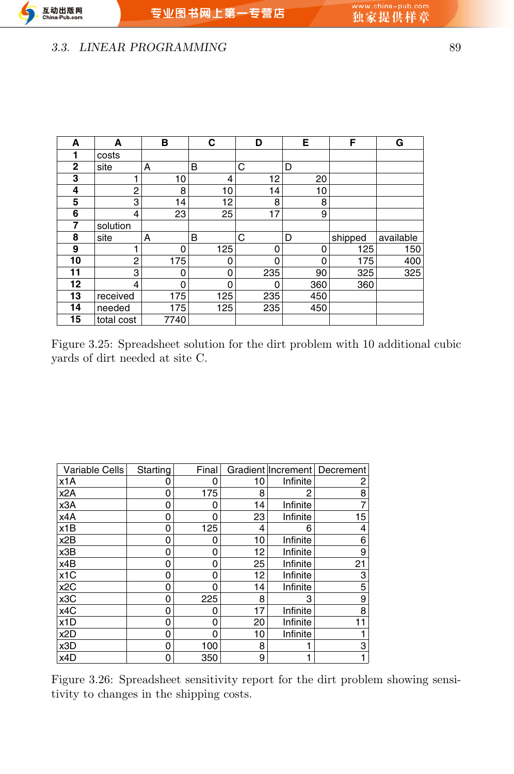### *3.3. LINEAR PROGRAMMING* 89

| А            | A          | в    | C   | D   | Е   | F       | G         |
|--------------|------------|------|-----|-----|-----|---------|-----------|
|              | costs      |      |     |     |     |         |           |
| $\mathbf{2}$ | site       | A    | B   | C   | D   |         |           |
| 3            |            | 10   | 4   | 12  | 20  |         |           |
| 4            | 2          | 8    | 10  | 14  | 10  |         |           |
| 5            | 3          | 14   | 12  | 8   | 8   |         |           |
| 6            | 4          | 23   | 25  | 17  | 9   |         |           |
| 7            | solution   |      |     |     |     |         |           |
| 8            | site       | A    | B   | C   | D   | shipped | available |
| 9            |            | 0    | 125 | 0   | 0   | 125     | 150       |
| 10           | 2          | 175  | ი   | 0   | 0   | 175     | 400       |
| 11           | 3          | 0    | 0   | 235 | 90  | 325     | 325       |
| 12           | 4          | 0    | 0   | 0   | 360 | 360     |           |
| 13           | received   | 175  | 125 | 235 | 450 |         |           |
| 14           | needed     | 175  | 125 | 235 | 450 |         |           |
| 15           | total cost | 7740 |     |     |     |         |           |

Figure 3.25: Spreadsheet solution for the dirt problem with 10 additional cubic yards of dirt needed at site C.

| Variable Cells   | Starting | Final |    |          | Gradient Increment   Decrement |
|------------------|----------|-------|----|----------|--------------------------------|
| x1A              | 0        |       | 10 | Infinite | 2                              |
| x2A              | 0        | 175   | 8  |          | 8                              |
| x3A              | 0        |       | 14 | Infinite |                                |
| x4A              | 0        | ი     | 23 | Infinite | 15                             |
| x1B              | 0        | 125   | 4  | 6        | 4                              |
| x2B              | 0        | 0     | 10 | Infinite | 6                              |
| x3B              | 0        | ი     | 12 | Infinite | 9                              |
| x4B              | 0        |       | 25 | Infinite | 21                             |
| x <sub>1</sub> C | 0        | ი     | 12 | Infinite | 3                              |
| x <sub>2</sub> C | 0        |       | 14 | Infinite | 5                              |
| x3C              | 0        | 225   | 8  | 3        | 9                              |
| x4C              | 0        |       | 17 | Infinite | 8                              |
| x1D              | 0        |       | 20 | Infinite |                                |
| x <sub>2</sub> D | 0        |       | 10 | Infinite |                                |
| x3D              | 0        | 100   | 8  |          | 3                              |
| x4D              | 0        | 350   | 9  |          |                                |

Figure 3.26: Spreadsheet sensitivity report for the dirt problem showing sensitivity to changes in the shipping costs.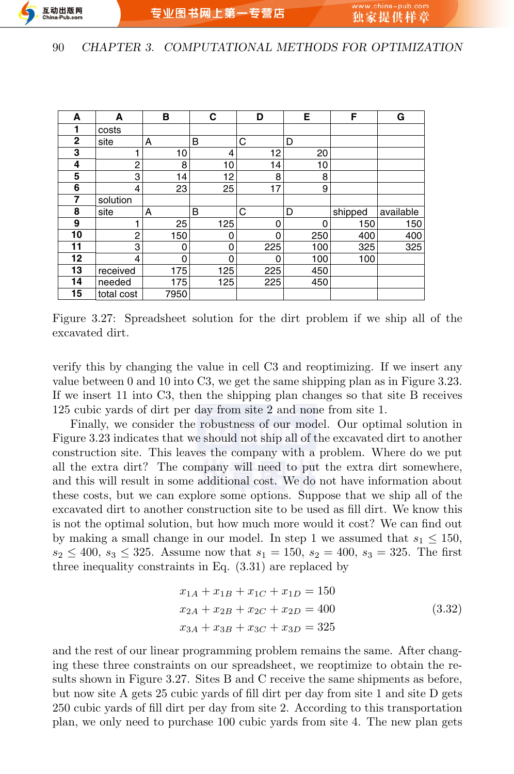

| A               | A              | в        | С   | D   | Е   | F       | G         |
|-----------------|----------------|----------|-----|-----|-----|---------|-----------|
|                 | costs          |          |     |     |     |         |           |
| $\overline{2}$  | site           | A        | B   | С   | D   |         |           |
| 3               |                | 10       | 4   | 12  | 20  |         |           |
| 4               | $\overline{c}$ | 8        | 10  | 14  | 10  |         |           |
| 5               | 3              | 14       | 12  | 8   | 8   |         |           |
| 6               | 4              | 23       | 25  | 17  | 9   |         |           |
| 7               | solution       |          |     |     |     |         |           |
| 8               | site           | A        | B   | C   | D   | shipped | available |
| 9               |                | 25       | 125 | 0   | 0   | 150     | 150       |
| 10              | 2              | 150      | 0   | 0   | 250 | 400     | 400       |
| 11              | 3              | 0        | 0   | 225 | 100 | 325     | 325       |
| 12 <sub>2</sub> | 4              | $\Omega$ | 0   | 0   | 100 | 100     |           |
| 13              | received       | 175      | 125 | 225 | 450 |         |           |
| 14              | needed         | 175      | 125 | 225 | 450 |         |           |
| 15              | total cost     | 7950     |     |     |     |         |           |

Figure 3.27: Spreadsheet solution for the dirt problem if we ship all of the excavated dirt.

verify this by changing the value in cell C3 and reoptimizing. If we insert any value between 0 and 10 into C3, we get the same shipping plan as in Figure 3.23. If we insert 11 into C3, then the shipping plan changes so that site B receives 125 cubic yards of dirt per day from site 2 and none from site 1.

Finally, we consider the robustness of our model. Our optimal solution in Figure 3.23 indicates that we should not ship all of the excavated dirt to another construction site. This leaves the company with a problem. Where do we put all the extra dirt? The company will need to put the extra dirt somewhere, and this will result in some additional cost. We do not have information about these costs, but we can explore some options. Suppose that we ship all of the excavated dirt to another construction site to be used as fill dirt. We know this is not the optimal solution, but how much more would it cost? We can find out by making a small change in our model. In step 1 we assumed that  $s_1 \leq 150$ ,  $s_2 \leq 400$ ,  $s_3 \leq 325$ . Assume now that  $s_1 = 150$ ,  $s_2 = 400$ ,  $s_3 = 325$ . The first three inequality constraints in Eq. (3.31) are replaced by

$$
x_{1A} + x_{1B} + x_{1C} + x_{1D} = 150
$$
  
\n
$$
x_{2A} + x_{2B} + x_{2C} + x_{2D} = 400
$$
  
\n
$$
x_{3A} + x_{3B} + x_{3C} + x_{3D} = 325
$$
\n(3.32)

and the rest of our linear programming problem remains the same. After changing these three constraints on our spreadsheet, we reoptimize to obtain the results shown in Figure 3.27. Sites B and C receive the same shipments as before, but now site A gets 25 cubic yards of fill dirt per day from site 1 and site D gets 250 cubic yards of fill dirt per day from site 2. According to this transportation plan, we only need to purchase 100 cubic yards from site 4. The new plan gets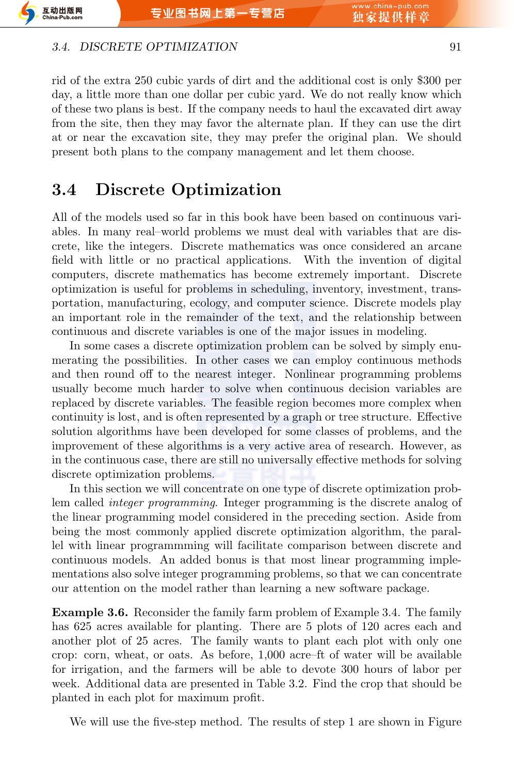#### *3.4. DISCRETE OPTIMIZATION* 91

rid of the extra 250 cubic yards of dirt and the additional cost is only \$300 per day, a little more than one dollar per cubic yard. We do not really know which of these two plans is best. If the company needs to haul the excavated dirt away from the site, then they may favor the alternate plan. If they can use the dirt at or near the excavation site, they may prefer the original plan. We should present both plans to the company management and let them choose.

# **3.4 Discrete Optimization**

All of the models used so far in this book have been based on continuous variables. In many real–world problems we must deal with variables that are discrete, like the integers. Discrete mathematics was once considered an arcane field with little or no practical applications. With the invention of digital computers, discrete mathematics has become extremely important. Discrete optimization is useful for problems in scheduling, inventory, investment, transportation, manufacturing, ecology, and computer science. Discrete models play an important role in the remainder of the text, and the relationship between continuous and discrete variables is one of the major issues in modeling.

In some cases a discrete optimization problem can be solved by simply enumerating the possibilities. In other cases we can employ continuous methods and then round off to the nearest integer. Nonlinear programming problems usually become much harder to solve when continuous decision variables are replaced by discrete variables. The feasible region becomes more complex when continuity is lost, and is often represented by a graph or tree structure. Effective solution algorithms have been developed for some classes of problems, and the improvement of these algorithms is a very active area of research. However, as in the continuous case, there are still no universally effective methods for solving discrete optimization problems.

In this section we will concentrate on one type of discrete optimization problem called *integer programming*. Integer programming is the discrete analog of the linear programming model considered in the preceding section. Aside from being the most commonly applied discrete optimization algorithm, the parallel with linear programmming will facilitate comparison between discrete and continuous models. An added bonus is that most linear programming implementations also solve integer programming problems, so that we can concentrate our attention on the model rather than learning a new software package.

**Example 3.6.** Reconsider the family farm problem of Example 3.4. The family has 625 acres available for planting. There are 5 plots of 120 acres each and another plot of 25 acres. The family wants to plant each plot with only one crop: corn, wheat, or oats. As before, 1,000 acre–ft of water will be available for irrigation, and the farmers will be able to devote 300 hours of labor per week. Additional data are presented in Table 3.2. Find the crop that should be planted in each plot for maximum profit.

We will use the five-step method. The results of step 1 are shown in Figure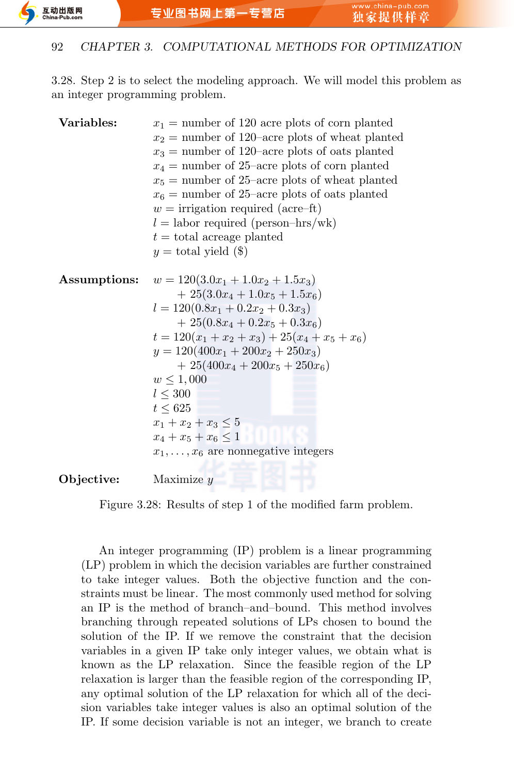

3.28. Step 2 is to select the modeling approach. We will model this problem as an integer programming problem.

| Variables:   | $x_1$ = number of 120 acre plots of corn planted  |
|--------------|---------------------------------------------------|
|              | $x_2$ = number of 120–acre plots of wheat planted |
|              | $x_3$ = number of 120–acre plots of oats planted  |
|              | $x_4$ = number of 25-acre plots of corn planted   |
|              | $x_5$ = number of 25-acre plots of wheat planted  |
|              | $x_6$ = number of 25-acre plots of oats planted   |
|              | $w =$ irrigation required (acre-ft)               |
|              | $l =$ labor required (person-hrs/wk)              |
|              | $t =$ total acreage planted                       |
|              | $y =$ total yield $(\$)$                          |
|              |                                                   |
| Assumptions: | $w = 120(3.0x_1 + 1.0x_2 + 1.5x_3)$               |
|              | $+25(3.0x_4+1.0x_5+1.5x_6)$                       |
|              | $l = 120(0.8x_1 + 0.2x_2 + 0.3x_3)$               |
|              | $+25(0.8x_4+0.2x_5+0.3x_6)$                       |
|              | $t = 120(x_1 + x_2 + x_3) + 25(x_4 + x_5 + x_6)$  |
|              | $y = 120(400x_1 + 200x_2 + 250x_3)$               |
|              | $+25(400x_4+200x_5+250x_6)$                       |
|              | $w \leq 1,000$                                    |
|              | $l \leq 300$                                      |
|              | $t \leq 625$                                      |
|              | $x_1 + x_2 + x_3 \leq 5$                          |
|              | $x_4 + x_5 + x_6 \leq 1$                          |
|              | $x_1, \ldots, x_6$ are nonnegative integers       |
|              |                                                   |
|              |                                                   |

**Objective:** Maximize *y*

Figure 3.28: Results of step 1 of the modified farm problem.

An integer programming (IP) problem is a linear programming (LP) problem in which the decision variables are further constrained to take integer values. Both the objective function and the constraints must be linear. The most commonly used method for solving an IP is the method of branch–and–bound. This method involves branching through repeated solutions of LPs chosen to bound the solution of the IP. If we remove the constraint that the decision variables in a given IP take only integer values, we obtain what is known as the LP relaxation. Since the feasible region of the LP relaxation is larger than the feasible region of the corresponding IP, any optimal solution of the LP relaxation for which all of the decision variables take integer values is also an optimal solution of the IP. If some decision variable is not an integer, we branch to create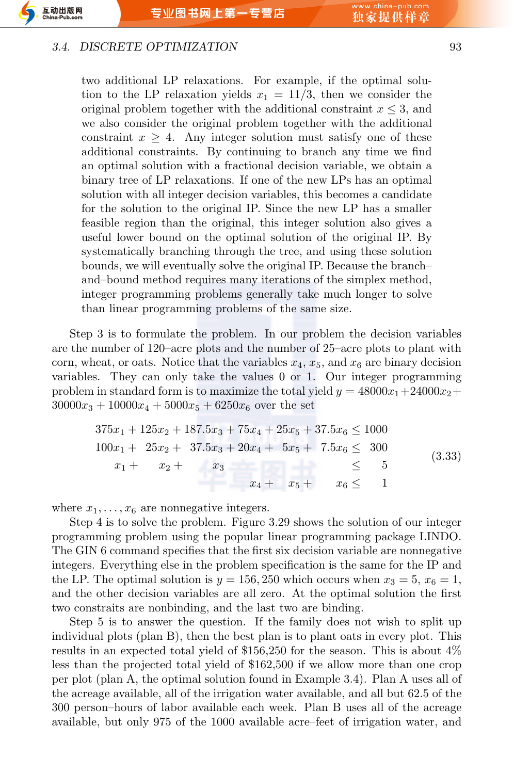#### *3.4. DISCRETE OPTIMIZATION* 93

互动出版网

 $ina-Puh$ 

two additional LP relaxations. For example, if the optimal solution to the LP relaxation yields  $x_1 = 11/3$ , then we consider the original problem together with the additional constraint  $x \leq 3$ , and we also consider the original problem together with the additional constraint  $x \geq 4$ . Any integer solution must satisfy one of these additional constraints. By continuing to branch any time we find an optimal solution with a fractional decision variable, we obtain a binary tree of LP relaxations. If one of the new LPs has an optimal solution with all integer decision variables, this becomes a candidate for the solution to the original IP. Since the new LP has a smaller feasible region than the original, this integer solution also gives a useful lower bound on the optimal solution of the original IP. By systematically branching through the tree, and using these solution bounds, we will eventually solve the original IP. Because the branch– and–bound method requires many iterations of the simplex method, integer programming problems generally take much longer to solve than linear programming problems of the same size.

Step 3 is to formulate the problem. In our problem the decision variables are the number of 120–acre plots and the number of 25–acre plots to plant with corn, wheat, or oats. Notice that the variables  $x_4$ ,  $x_5$ , and  $x_6$  are binary decision variables. They can only take the values 0 or 1. Our integer programming problem in standard form is to maximize the total yield  $y = 48000x_1 + 24000x_2 +$  $30000x_3 + 10000x_4 + 5000x_5 + 6250x_6$  over the set

|        |              |               | $375x_1 + 125x_2 + 187.5x_3 + 75x_4 + 25x_5 + 37.5x_6 \le 1000$ |  |  |
|--------|--------------|---------------|-----------------------------------------------------------------|--|--|
| (3.33) |              |               | $100x_1 + 25x_2 + 37.5x_3 + 20x_4 + 5x_5 + 7.5x_6 \leq 300$     |  |  |
|        |              |               | $x_1 + x_2 + x_3$ $\leq$                                        |  |  |
|        | $x_6 \leq 1$ | $x_4 + x_5 +$ |                                                                 |  |  |

where  $x_1, \ldots, x_6$  are nonnegative integers.

Step 4 is to solve the problem. Figure 3.29 shows the solution of our integer programming problem using the popular linear programming package LINDO. The GIN 6 command specifies that the first six decision variable are nonnegative integers. Everything else in the problem specification is the same for the IP and the LP. The optimal solution is  $y = 156, 250$  which occurs when  $x_3 = 5, x_6 = 1$ , and the other decision variables are all zero. At the optimal solution the first two constraits are nonbinding, and the last two are binding.

Step 5 is to answer the question. If the family does not wish to split up individual plots (plan B), then the best plan is to plant oats in every plot. This results in an expected total yield of \$156,250 for the season. This is about 4% less than the projected total yield of \$162,500 if we allow more than one crop per plot (plan A, the optimal solution found in Example 3.4). Plan A uses all of the acreage available, all of the irrigation water available, and all but 62.5 of the 300 person–hours of labor available each week. Plan B uses all of the acreage available, but only 975 of the 1000 available acre–feet of irrigation water, and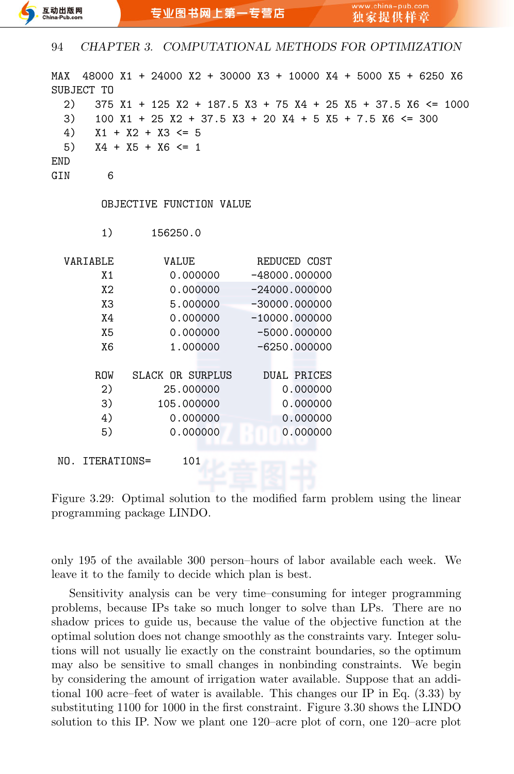| MAX<br>SUBJECT TO<br>2)<br>3)<br>4)<br>5)<br><b>END</b><br>GIN<br>6 | $X1 + X2 + X3 \le 5$<br>$X4 + X5 + X6 \leq 1$ | 48000 X1 + 24000 X2 + 30000 X3 + 10000 X4 + 5000 X5 + 6250 X6<br>$375$ X1 + 125 X2 + 187.5 X3 + 75 X4 + 25 X5 + 37.5 X6 <= 1000<br>$100$ X1 + 25 X2 + 37.5 X3 + 20 X4 + 5 X5 + 7.5 X6 <= 300 |  |
|---------------------------------------------------------------------|-----------------------------------------------|----------------------------------------------------------------------------------------------------------------------------------------------------------------------------------------------|--|
|                                                                     | OBJECTIVE FUNCTION VALUE                      |                                                                                                                                                                                              |  |
| 1)                                                                  | 156250.0                                      |                                                                                                                                                                                              |  |
| VARIABLE                                                            | <b>VALUE</b>                                  | REDUCED COST                                                                                                                                                                                 |  |
| X1                                                                  | 0.000000                                      | $-48000.000000$                                                                                                                                                                              |  |
| X <sub>2</sub>                                                      | 0.000000                                      | $-24000.000000$                                                                                                                                                                              |  |
| X <sub>3</sub>                                                      | 5.000000                                      | $-30000.000000$                                                                                                                                                                              |  |
| X4                                                                  | 0.000000                                      | $-10000.000000$                                                                                                                                                                              |  |
| X <sub>5</sub>                                                      | 0.000000                                      | $-5000.000000$                                                                                                                                                                               |  |
| X6                                                                  | 1.000000                                      | $-6250.000000$                                                                                                                                                                               |  |
|                                                                     |                                               |                                                                                                                                                                                              |  |
| <b>ROW</b>                                                          | SLACK OR SURPLUS                              | <b>DUAL PRICES</b>                                                                                                                                                                           |  |
| 2)                                                                  | 25.000000                                     | 0.000000                                                                                                                                                                                     |  |
| 3)                                                                  | 105.000000                                    | 0.000000                                                                                                                                                                                     |  |
| 4)                                                                  | 0.000000                                      | 0.000000                                                                                                                                                                                     |  |
| 5)                                                                  | 0.000000                                      | 0.000000                                                                                                                                                                                     |  |
| NO. ITERATIONS=                                                     | 101<br><b>Le refer</b>                        |                                                                                                                                                                                              |  |

Figure 3.29: Optimal solution to the modified farm problem using the linear programming package LINDO.

only 195 of the available 300 person–hours of labor available each week. We leave it to the family to decide which plan is best.

Sensitivity analysis can be very time–consuming for integer programming problems, because IPs take so much longer to solve than LPs. There are no shadow prices to guide us, because the value of the objective function at the optimal solution does not change smoothly as the constraints vary. Integer solutions will not usually lie exactly on the constraint boundaries, so the optimum may also be sensitive to small changes in nonbinding constraints. We begin by considering the amount of irrigation water available. Suppose that an additional 100 acre–feet of water is available. This changes our IP in Eq. (3.33) by substituting 1100 for 1000 in the first constraint. Figure 3.30 shows the LINDO solution to this IP. Now we plant one 120–acre plot of corn, one 120–acre plot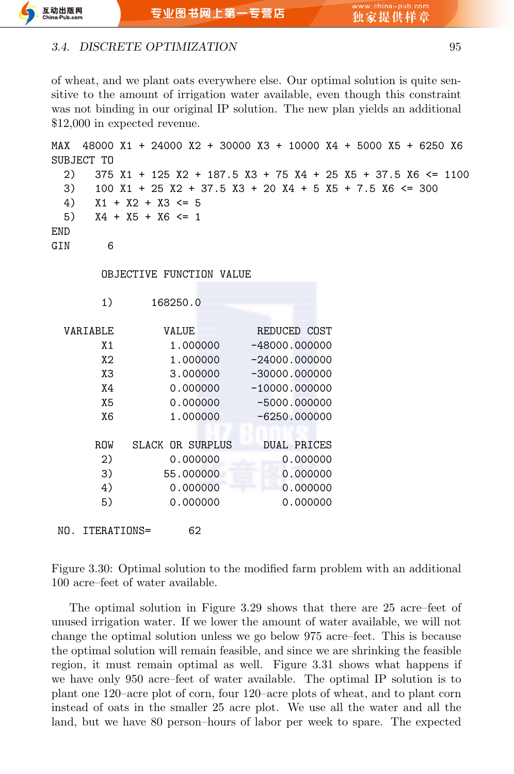#### *3.4. DISCRETE OPTIMIZATION* 95

of wheat, and we plant oats everywhere else. Our optimal solution is quite sensitive to the amount of irrigation water available, even though this constraint was not binding in our original IP solution. The new plan yields an additional \$12,000 in expected revenue.

| MAX<br>SUBJECT TO           | 48000 X1 + 24000 X2 + 30000 X3 + 10000 X4 + 5000 X5 + 6250 X6                                                                                                              |                    |  |
|-----------------------------|----------------------------------------------------------------------------------------------------------------------------------------------------------------------------|--------------------|--|
| 2)<br>3)<br>4)<br>5)<br>END | $375$ X1 + 125 X2 + 187.5 X3 + 75 X4 + 25 X5 + 37.5 X6 <= 1100<br>100 X1 + 25 X2 + 37.5 X3 + 20 X4 + 5 X5 + 7.5 X6 <= 300<br>$X1 + X2 + X3 \le 5$<br>$X4 + X5 + X6 \leq 1$ |                    |  |
| 6<br>GIN                    |                                                                                                                                                                            |                    |  |
|                             | OBJECTIVE FUNCTION VALUE                                                                                                                                                   |                    |  |
| 1)                          | 168250.0                                                                                                                                                                   |                    |  |
| VARIABLE                    | VALUE                                                                                                                                                                      | REDUCED COST       |  |
| X1                          | 1.000000                                                                                                                                                                   | $-48000.000000$    |  |
| X <sub>2</sub>              | 1.000000                                                                                                                                                                   | $-24000.000000$    |  |
| X3                          | 3.000000                                                                                                                                                                   | $-30000.000000$    |  |
| Χ4                          | 0.000000                                                                                                                                                                   | $-10000.000000$    |  |
| X5                          | 0.000000                                                                                                                                                                   | $-5000.000000$     |  |
| X <sub>6</sub>              | 1.000000                                                                                                                                                                   | $-6250.000000$     |  |
|                             |                                                                                                                                                                            |                    |  |
| ROW                         | <b>SLACK OR SURPLUS</b>                                                                                                                                                    | <b>DUAL PRICES</b> |  |
| 2)                          | 0.000000                                                                                                                                                                   | 0.000000           |  |
| 3)                          | 55.000000                                                                                                                                                                  | 0.000000           |  |
| 4)                          | 0.000000                                                                                                                                                                   | 0.000000           |  |
| 5)                          | 0.000000                                                                                                                                                                   | 0.000000           |  |
| NO.<br>ITERATIONS=          | 62                                                                                                                                                                         |                    |  |

Figure 3.30: Optimal solution to the modified farm problem with an additional 100 acre–feet of water available.

The optimal solution in Figure 3.29 shows that there are 25 acre–feet of unused irrigation water. If we lower the amount of water available, we will not change the optimal solution unless we go below 975 acre–feet. This is because the optimal solution will remain feasible, and since we are shrinking the feasible region, it must remain optimal as well. Figure 3.31 shows what happens if we have only 950 acre–feet of water available. The optimal IP solution is to plant one 120–acre plot of corn, four 120–acre plots of wheat, and to plant corn instead of oats in the smaller 25 acre plot. We use all the water and all the land, but we have 80 person–hours of labor per week to spare. The expected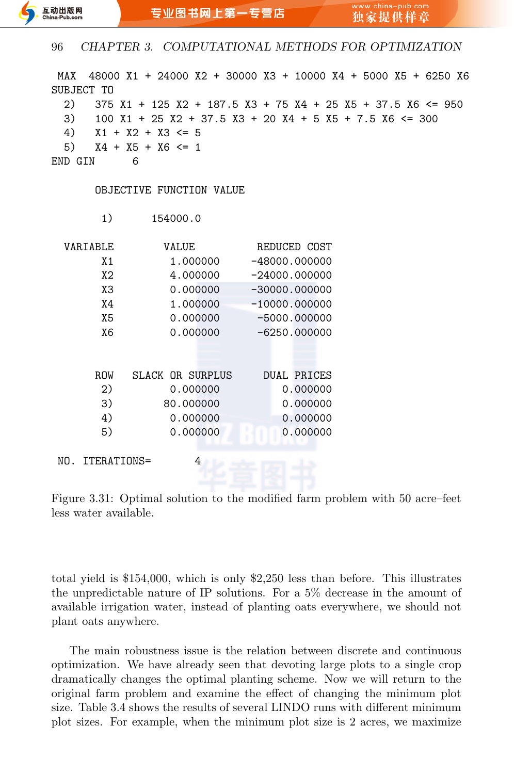| 48000 X1 + 24000 X2 + 30000 X3 + 10000 X4 + 5000 X5 + 6250 X6<br>MAX<br>SUBJECT TO<br>2)<br>$375$ X1 + 125 X2 + 187.5 X3 + 75 X4 + 25 X5 + 37.5 X6 <= 950<br>3)<br>$100$ X1 + 25 X2 + 37.5 X3 + 20 X4 + 5 X5 + 7.5 X6 <= 300<br>4)<br>$X1 + X2 + X3 \le 5$<br>5)<br>$X4 + X5 + X6 \leq 1$<br>END GIN<br>6 |                  |                    |  |  |  |  |  |
|-----------------------------------------------------------------------------------------------------------------------------------------------------------------------------------------------------------------------------------------------------------------------------------------------------------|------------------|--------------------|--|--|--|--|--|
| OBJECTIVE FUNCTION VALUE                                                                                                                                                                                                                                                                                  |                  |                    |  |  |  |  |  |
| 1)                                                                                                                                                                                                                                                                                                        | 154000.0         |                    |  |  |  |  |  |
| VARIABLE                                                                                                                                                                                                                                                                                                  | VALUE            | REDUCED COST       |  |  |  |  |  |
| X1                                                                                                                                                                                                                                                                                                        | 1.000000         | $-48000.000000$    |  |  |  |  |  |
| X <sub>2</sub>                                                                                                                                                                                                                                                                                            | 4.000000         | $-24000.000000$    |  |  |  |  |  |
| X <sub>3</sub>                                                                                                                                                                                                                                                                                            | 0.000000         | $-30000.000000$    |  |  |  |  |  |
| X4                                                                                                                                                                                                                                                                                                        | 1.000000         | $-10000.000000$    |  |  |  |  |  |
| X <sub>5</sub>                                                                                                                                                                                                                                                                                            | 0.000000         | $-5000.000000$     |  |  |  |  |  |
| X <sub>6</sub>                                                                                                                                                                                                                                                                                            | 0.000000         | $-6250.000000$     |  |  |  |  |  |
|                                                                                                                                                                                                                                                                                                           |                  |                    |  |  |  |  |  |
|                                                                                                                                                                                                                                                                                                           |                  |                    |  |  |  |  |  |
| <b>ROW</b>                                                                                                                                                                                                                                                                                                | SLACK OR SURPLUS | <b>DUAL PRICES</b> |  |  |  |  |  |
| 2)                                                                                                                                                                                                                                                                                                        | 0.000000         | 0.000000           |  |  |  |  |  |
| 3)                                                                                                                                                                                                                                                                                                        | 80.000000        | 0.000000           |  |  |  |  |  |
| 4)                                                                                                                                                                                                                                                                                                        | 0.000000         | 0.000000           |  |  |  |  |  |
| 5)                                                                                                                                                                                                                                                                                                        | 0.000000         | 0.000000           |  |  |  |  |  |
| ITERATIONS=<br>NO.                                                                                                                                                                                                                                                                                        | 4                |                    |  |  |  |  |  |
|                                                                                                                                                                                                                                                                                                           |                  |                    |  |  |  |  |  |

Figure 3.31: Optimal solution to the modified farm problem with 50 acre–feet less water available.

total yield is \$154,000, which is only \$2,250 less than before. This illustrates the unpredictable nature of IP solutions. For a 5% decrease in the amount of available irrigation water, instead of planting oats everywhere, we should not plant oats anywhere.

The main robustness issue is the relation between discrete and continuous optimization. We have already seen that devoting large plots to a single crop dramatically changes the optimal planting scheme. Now we will return to the original farm problem and examine the effect of changing the minimum plot size. Table 3.4 shows the results of several LINDO runs with different minimum plot sizes. For example, when the minimum plot size is 2 acres, we maximize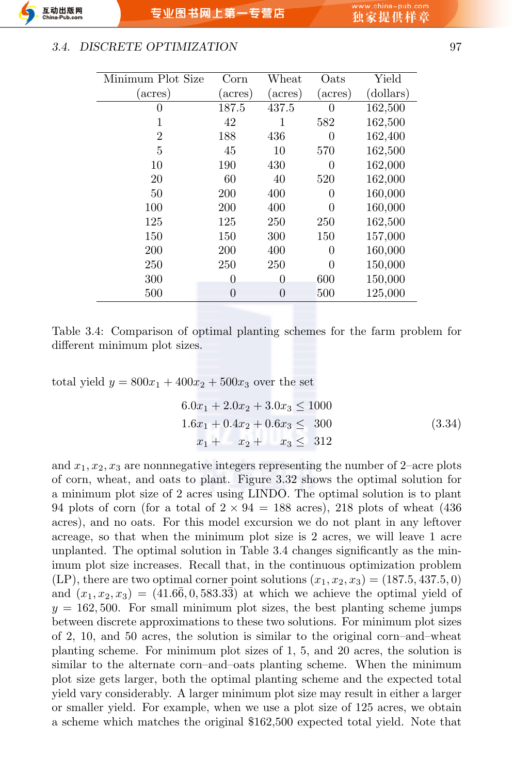#### *3.4. DISCRETE OPTIMIZATION* 97

| Minimum Plot Size | Corn     | Wheat   | Oats             | Yield     |
|-------------------|----------|---------|------------------|-----------|
| (acres)           | (acres)  | (acres) | (acres)          | (dollars) |
| 0                 | 187.5    | 437.5   | $\left( \right)$ | 162,500   |
| 1                 | 42       | 1       | 582              | 162,500   |
| $\overline{2}$    | 188      | 436     | 0                | 162,400   |
| 5                 | 45       | 10      | 570              | 162,500   |
| 10                | 190      | 430     | 0                | 162,000   |
| 20                | 60       | 40      | 520              | 162,000   |
| 50                | 200      | 400     | 0                | 160,000   |
| 100               | 200      | 400     | 0                | 160,000   |
| 125               | 125      | 250     | 250              | 162,500   |
| 150               | 150      | 300     | 150              | 157,000   |
| 200               | 200      | 400     | 0                | 160,000   |
| 250               | 250      | 250     | $\Omega$         | 150,000   |
| 300               | $\theta$ | 0       | 600              | 150,000   |
| 500               | 0        | 0       | 500              | 125,000   |

Table 3.4: Comparison of optimal planting schemes for the farm problem for different minimum plot sizes.

total yield  $y = 800x_1 + 400x_2 + 500x_3$  over the set

$$
6.0x1 + 2.0x2 + 3.0x3 \le 1000
$$
  

$$
1.6x1 + 0.4x2 + 0.6x3 \le 300
$$
  

$$
x1 + x2 + x3 \le 312
$$
 (3.34)

and  $x_1, x_2, x_3$  are nonnnegative integers representing the number of 2–acre plots of corn, wheat, and oats to plant. Figure 3.32 shows the optimal solution for a minimum plot size of 2 acres using LINDO. The optimal solution is to plant 94 plots of corn (for a total of  $2 \times 94 = 188$  acres), 218 plots of wheat (436) acres), and no oats. For this model excursion we do not plant in any leftover acreage, so that when the minimum plot size is 2 acres, we will leave 1 acre unplanted. The optimal solution in Table 3.4 changes significantly as the minimum plot size increases. Recall that, in the continuous optimization problem  $(LP)$ , there are two optimal corner point solutions  $(x_1, x_2, x_3) = (187.5, 437.5, 0)$ and  $(x_1, x_2, x_3) = (41.6\overline{6}, 0, 583.3\overline{3})$  at which we achieve the optimal yield of  $y = 162,500$ . For small minimum plot sizes, the best planting scheme jumps between discrete approximations to these two solutions. For minimum plot sizes of 2, 10, and 50 acres, the solution is similar to the original corn–and–wheat planting scheme. For minimum plot sizes of 1, 5, and 20 acres, the solution is similar to the alternate corn–and–oats planting scheme. When the minimum plot size gets larger, both the optimal planting scheme and the expected total yield vary considerably. A larger minimum plot size may result in either a larger or smaller yield. For example, when we use a plot size of 125 acres, we obtain a scheme which matches the original \$162,500 expected total yield. Note that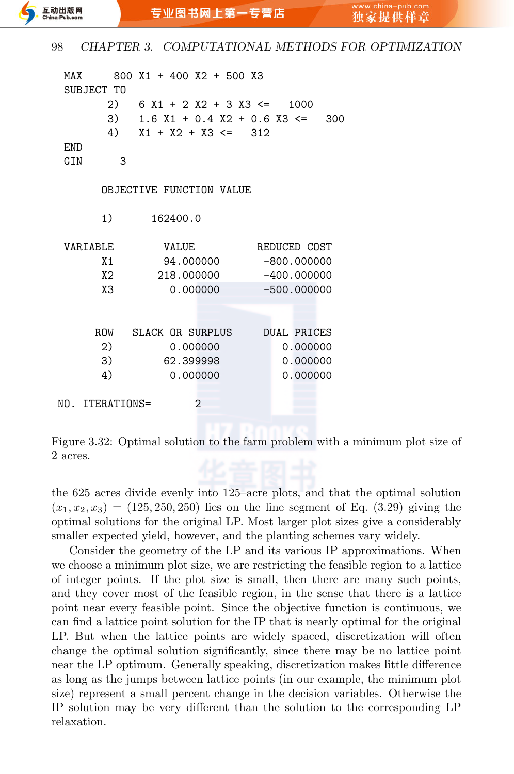| MAX        |                 | 800 X1 + 400 X2 + 500 X3                                   |              |                    |
|------------|-----------------|------------------------------------------------------------|--------------|--------------------|
|            | SUBJECT TO      |                                                            |              |                    |
|            |                 | 2) $6 X1 + 2 X2 + 3 X3 \le 1000$                           |              |                    |
|            |                 | 3) $1.6 \text{ X1} + 0.4 \text{ X2} + 0.6 \text{ X3} \leq$ |              | 300                |
|            |                 | 4) $X1 + X2 + X3 \le 312$                                  |              |                    |
| <b>END</b> |                 |                                                            |              |                    |
| GIN        | 3               |                                                            |              |                    |
|            |                 |                                                            |              |                    |
|            |                 | OBJECTIVE FUNCTION VALUE                                   |              |                    |
|            |                 |                                                            |              |                    |
|            | 1)              | 162400.0                                                   |              |                    |
|            |                 |                                                            |              |                    |
|            | VARTABLE        | VALUE                                                      | REDUCED COST |                    |
|            | X <sub>1</sub>  | 94.000000                                                  |              | $-800.000000$      |
|            | X <sub>2</sub>  | 218,000000                                                 |              | $-400.000000$      |
|            | X3              | 0.000000                                                   |              | $-500.000000$      |
|            |                 |                                                            |              |                    |
|            |                 |                                                            |              |                    |
|            |                 | ROW SLACK OR SURPLUS                                       |              | <b>DUAL PRICES</b> |
|            | 2)              | 0.000000                                                   |              | 0.000000           |
|            | 3)              | 62.399998                                                  |              | 0.000000           |
|            | 4)              | 0.000000                                                   |              | 0.000000           |
|            |                 |                                                            |              |                    |
|            | NO. ITERATIONS= | $\overline{2}$                                             |              |                    |
|            |                 |                                                            |              |                    |

Figure 3.32: Optimal solution to the farm problem with a minimum plot size of 2 acres.

the 625 acres divide evenly into 125–acre plots, and that the optimal solution  $(x_1, x_2, x_3) = (125, 250, 250)$  lies on the line segment of Eq.  $(3.29)$  giving the optimal solutions for the original LP. Most larger plot sizes give a considerably smaller expected yield, however, and the planting schemes vary widely.

Consider the geometry of the LP and its various IP approximations. When we choose a minimum plot size, we are restricting the feasible region to a lattice of integer points. If the plot size is small, then there are many such points, and they cover most of the feasible region, in the sense that there is a lattice point near every feasible point. Since the objective function is continuous, we can find a lattice point solution for the IP that is nearly optimal for the original LP. But when the lattice points are widely spaced, discretization will often change the optimal solution significantly, since there may be no lattice point near the LP optimum. Generally speaking, discretization makes little difference as long as the jumps between lattice points (in our example, the minimum plot size) represent a small percent change in the decision variables. Otherwise the IP solution may be very different than the solution to the corresponding LP relaxation.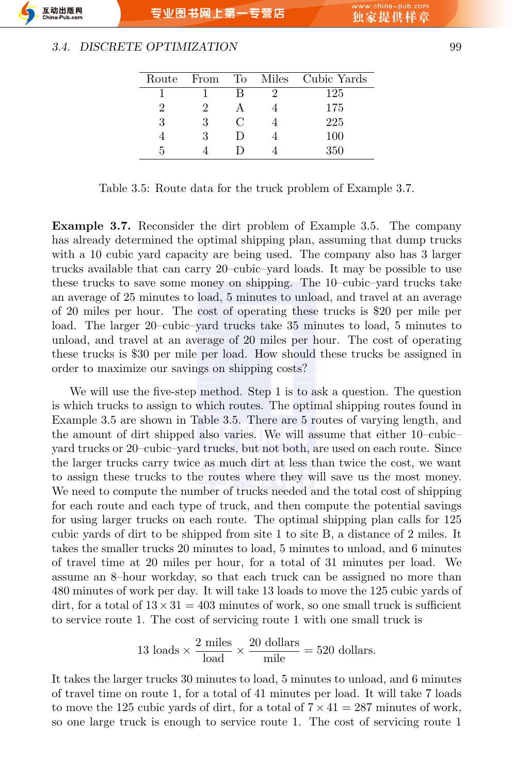#### *3.4. DISCRETE OPTIMIZATION* 99

| Route From |   | To Miles Cubic Yards |
|------------|---|----------------------|
|            |   | 125                  |
|            |   | 175                  |
| 3          | C | 225                  |
|            | Ð | 100                  |
|            |   | 350                  |

Table 3.5: Route data for the truck problem of Example 3.7.

**Example 3.7.** Reconsider the dirt problem of Example 3.5. The company has already determined the optimal shipping plan, assuming that dump trucks with a 10 cubic yard capacity are being used. The company also has 3 larger trucks available that can carry 20–cubic–yard loads. It may be possible to use these trucks to save some money on shipping. The 10–cubic–yard trucks take an average of 25 minutes to load, 5 minutes to unload, and travel at an average of 20 miles per hour. The cost of operating these trucks is \$20 per mile per load. The larger 20–cubic–yard trucks take 35 minutes to load, 5 minutes to unload, and travel at an average of 20 miles per hour. The cost of operating these trucks is \$30 per mile per load. How should these trucks be assigned in order to maximize our savings on shipping costs?

We will use the five-step method. Step 1 is to ask a question. The question is which trucks to assign to which routes. The optimal shipping routes found in Example 3.5 are shown in Table 3.5. There are 5 routes of varying length, and the amount of dirt shipped also varies. We will assume that either 10–cubic– yard trucks or 20–cubic–yard trucks, but not both, are used on each route. Since the larger trucks carry twice as much dirt at less than twice the cost, we want to assign these trucks to the routes where they will save us the most money. We need to compute the number of trucks needed and the total cost of shipping for each route and each type of truck, and then compute the potential savings for using larger trucks on each route. The optimal shipping plan calls for 125 cubic yards of dirt to be shipped from site 1 to site B, a distance of 2 miles. It takes the smaller trucks 20 minutes to load, 5 minutes to unload, and 6 minutes of travel time at 20 miles per hour, for a total of 31 minutes per load. We assume an 8–hour workday, so that each truck can be assigned no more than 480 minutes of work per day. It will take 13 loads to move the 125 cubic yards of dirt, for a total of  $13 \times 31 = 403$  minutes of work, so one small truck is sufficient to service route 1. The cost of servicing route 1 with one small truck is

13 loads 
$$
\times \frac{2 \text{ miles}}{\text{load}} \times \frac{20 \text{ dollars}}{\text{mile}} = 520 \text{ dollars}.
$$

It takes the larger trucks 30 minutes to load, 5 minutes to unload, and 6 minutes of travel time on route 1, for a total of 41 minutes per load. It will take 7 loads to move the 125 cubic yards of dirt, for a total of  $7 \times 41 = 287$  minutes of work, so one large truck is enough to service route 1. The cost of servicing route 1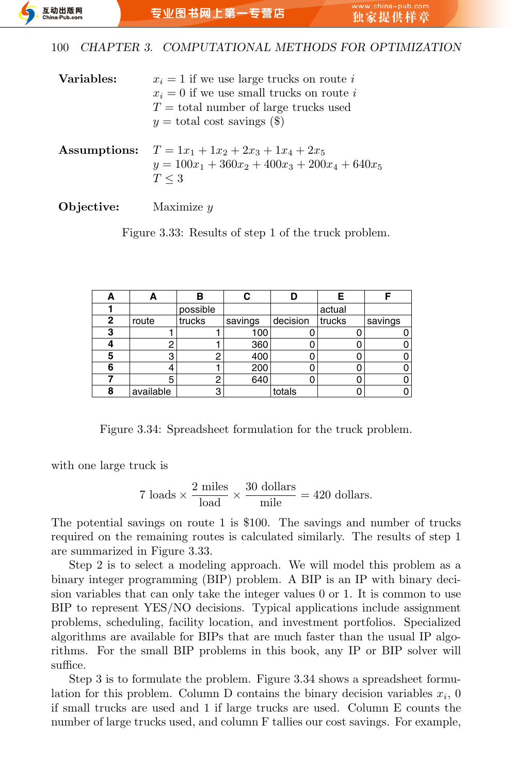| Variables:   | $x_i = 1$ if we use large trucks on route i<br>$x_i = 0$ if we use small trucks on route i<br>$T =$ total number of large trucks used<br>$y =$ total cost savings (\$) |
|--------------|------------------------------------------------------------------------------------------------------------------------------------------------------------------------|
| Assumptions: | $T = 1x_1 + 1x_2 + 2x_3 + 1x_4 + 2x_5$<br>$y = 100x_1 + 360x_2 + 400x_3 + 200x_4 + 640x_5$<br>$T \leq 3$                                                               |
| Objective:   | Maximize $y$                                                                                                                                                           |

Figure 3.33: Results of step 1 of the truck problem.

| А            | в         |          |         |          | Е      | c       |
|--------------|-----------|----------|---------|----------|--------|---------|
|              |           | possible |         |          | actual |         |
| $\mathbf{2}$ | route     | trucks   | savings | decision | trucks | savings |
| 3            |           |          | 100     |          |        |         |
|              |           |          | 360     |          |        |         |
| 5            | 3         |          | 400     |          |        |         |
| 6            |           |          | 200     |          |        |         |
|              | 5         |          | 640     |          |        |         |
| 8            | available |          |         | totals   |        |         |

Figure 3.34: Spreadsheet formulation for the truck problem.

with one large truck is

7 loads 
$$
\times \frac{2 \text{ miles}}{\text{load}} \times \frac{30 \text{ dollars}}{\text{mile}} = 420 \text{ dollars.}
$$

The potential savings on route 1 is \$100. The savings and number of trucks required on the remaining routes is calculated similarly. The results of step 1 are summarized in Figure 3.33.

Step 2 is to select a modeling approach. We will model this problem as a binary integer programming (BIP) problem. A BIP is an IP with binary decision variables that can only take the integer values 0 or 1. It is common to use BIP to represent YES/NO decisions. Typical applications include assignment problems, scheduling, facility location, and investment portfolios. Specialized algorithms are available for BIPs that are much faster than the usual IP algorithms. For the small BIP problems in this book, any IP or BIP solver will suffice.

Step 3 is to formulate the problem. Figure 3.34 shows a spreadsheet formulation for this problem. Column D contains the binary decision variables  $x_i$ , 0 if small trucks are used and 1 if large trucks are used. Column E counts the number of large trucks used, and column F tallies our cost savings. For example,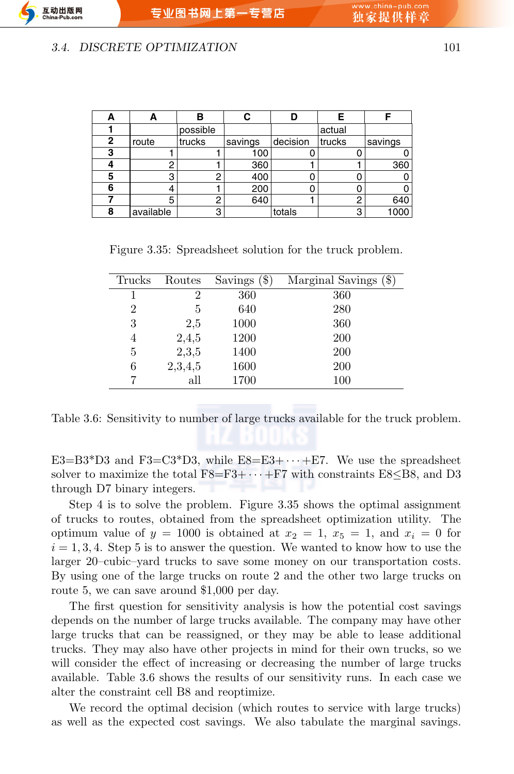专业图书网上第一专营店

#### *3.4. DISCRETE OPTIMIZATION* 101

|   |           | В        |         |          |        |         |
|---|-----------|----------|---------|----------|--------|---------|
|   |           | possible |         |          | actual |         |
| 2 | route     | trucks   | savings | decision | trucks | savings |
| 3 |           |          | 100     |          |        |         |
|   |           |          | 360     |          |        | 360     |
| 5 | 3         |          | 400     |          |        |         |
| 6 |           |          | 200     |          |        |         |
|   | 5         |          | 640     |          | ŋ      | 640     |
| 8 | available | n        |         | totals   | 3      | 1000    |

Figure 3.35: Spreadsheet solution for the truck problem.

| Trucks | Routes         | Savings $(\$)$ | Marginal Savings (\$) |
|--------|----------------|----------------|-----------------------|
|        | $\overline{2}$ | 360            | 360                   |
| 2      | 5              | 640            | 280                   |
| 3      | 2,5            | 1000           | 360                   |
| 4      | 2,4,5          | 1200           | <b>200</b>            |
| 5      | 2,3,5          | 1400           | 200                   |
| 6      | 2,3,4,5        | 1600           | <b>200</b>            |
| 7      | all            | 1700           | 100                   |

Table 3.6: Sensitivity to number of large trucks available for the truck problem.

E3=B3\*D3 and F3=C3\*D3, while E8=E3+ $\cdots$ +E7. We use the spreadsheet solver to maximize the total F8=F3+ *· · ·* +F7 with constraints E8*≤*B8, and D3 through D7 binary integers.

Step 4 is to solve the problem. Figure 3.35 shows the optimal assignment of trucks to routes, obtained from the spreadsheet optimization utility. The optimum value of  $y = 1000$  is obtained at  $x_2 = 1$ ,  $x_5 = 1$ , and  $x_i = 0$  for  $i = 1, 3, 4$ . Step 5 is to answer the question. We wanted to know how to use the larger 20–cubic–yard trucks to save some money on our transportation costs. By using one of the large trucks on route 2 and the other two large trucks on route 5, we can save around \$1,000 per day.

The first question for sensitivity analysis is how the potential cost savings depends on the number of large trucks available. The company may have other large trucks that can be reassigned, or they may be able to lease additional trucks. They may also have other projects in mind for their own trucks, so we will consider the effect of increasing or decreasing the number of large trucks available. Table 3.6 shows the results of our sensitivity runs. In each case we alter the constraint cell B8 and reoptimize.

We record the optimal decision (which routes to service with large trucks) as well as the expected cost savings. We also tabulate the marginal savings.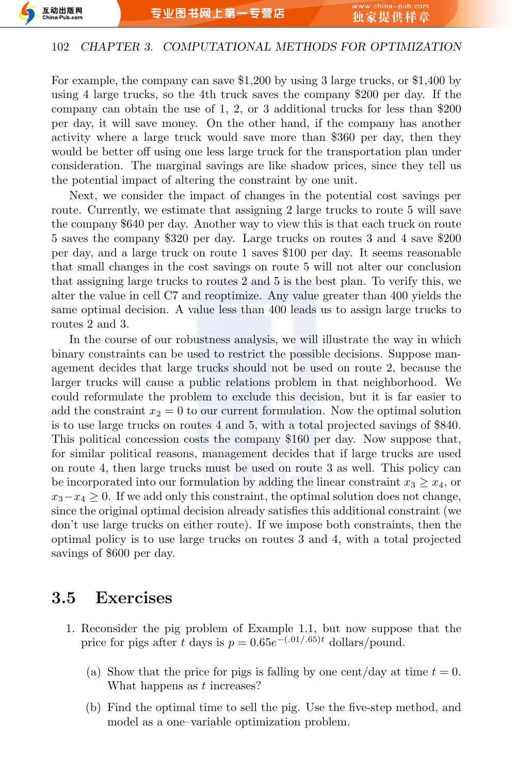

For example, the company can save \$1,200 by using 3 large trucks, or \$1,400 by using 4 large trucks, so the 4th truck saves the company \$200 per day. If the company can obtain the use of 1, 2, or 3 additional trucks for less than \$200 per day, it will save money. On the other hand, if the company has another activity where a large truck would save more than \$360 per day, then they would be better off using one less large truck for the transportation plan under consideration. The marginal savings are like shadow prices, since they tell us the potential impact of altering the constraint by one unit.

Next, we consider the impact of changes in the potential cost savings per route. Currently, we estimate that assigning 2 large trucks to route 5 will save the company \$640 per day. Another way to view this is that each truck on route 5 saves the company \$320 per day. Large trucks on routes 3 and 4 save \$200 per day, and a large truck on route 1 saves \$100 per day. It seems reasonable that small changes in the cost savings on route 5 will not alter our conclusion that assigning large trucks to routes 2 and 5 is the best plan. To verify this, we alter the value in cell C7 and reoptimize. Any value greater than 400 yields the same optimal decision. A value less than 400 leads us to assign large trucks to routes 2 and 3.

In the course of our robustness analysis, we will illustrate the way in which binary constraints can be used to restrict the possible decisions. Suppose management decides that large trucks should not be used on route 2, because the larger trucks will cause a public relations problem in that neighborhood. We could reformulate the problem to exclude this decision, but it is far easier to add the constraint  $x_2 = 0$  to our current formulation. Now the optimal solution is to use large trucks on routes 4 and 5, with a total projected savings of \$840. This political concession costs the company \$160 per day. Now suppose that, for similar political reasons, management decides that if large trucks are used on route 4, then large trucks must be used on route 3 as well. This policy can be incorporated into our formulation by adding the linear constraint  $x_3 \geq x_4$ , or *x*<sub>3</sub>−*x*<sub>4</sub> ≥ 0. If we add only this constraint, the optimal solution does not change, since the original optimal decision already satisfies this additional constraint (we don't use large trucks on either route). If we impose both constraints, then the optimal policy is to use large trucks on routes 3 and 4, with a total projected savings of \$600 per day.

## **3.5 Exercises**

- 1. Reconsider the pig problem of Example 1.1, but now suppose that the price for pigs after *t* days is  $p = 0.65e^{-(0.01/0.65)t}$  dollars/pound.
	- (a) Show that the price for pigs is falling by one cent/day at time  $t = 0$ . What happens as *t* increases?
	- (b) Find the optimal time to sell the pig. Use the five-step method, and model as a one–variable optimization problem.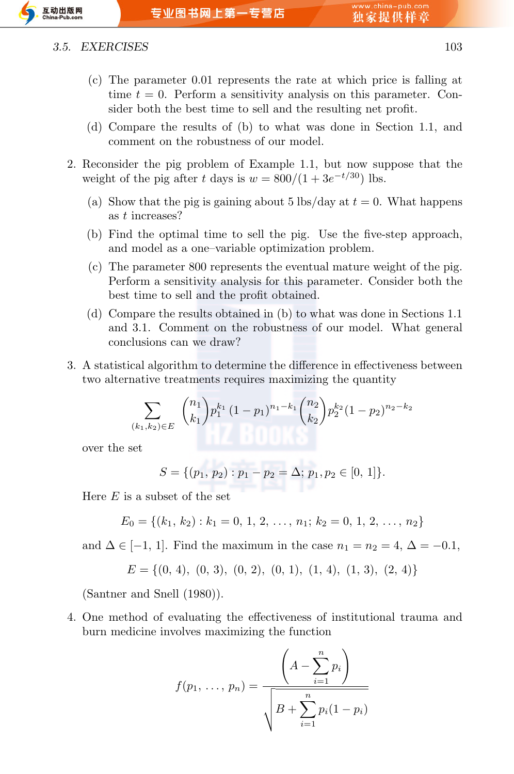

#### *3.5. EXERCISES* 103

- (c) The parameter 0*.*01 represents the rate at which price is falling at time *t* = 0. Perform a sensitivity analysis on this parameter. Consider both the best time to sell and the resulting net profit.
- (d) Compare the results of (b) to what was done in Section 1.1, and comment on the robustness of our model.
- 2. Reconsider the pig problem of Example 1.1, but now suppose that the weight of the pig after *t* days is  $w = \frac{800}{1 + 3e^{-t/30}}$  lbs.
	- (a) Show that the pig is gaining about 5 lbs/day at  $t = 0$ . What happens as *t* increases?
	- (b) Find the optimal time to sell the pig. Use the five-step approach, and model as a one–variable optimization problem.
	- (c) The parameter 800 represents the eventual mature weight of the pig. Perform a sensitivity analysis for this parameter. Consider both the best time to sell and the profit obtained.
	- (d) Compare the results obtained in (b) to what was done in Sections 1.1 and 3.1. Comment on the robustness of our model. What general conclusions can we draw?
- 3. A statistical algorithm to determine the difference in effectiveness between two alternative treatments requires maximizing the quantity

$$
\sum_{(k_1,k_2)\in E} \binom{n_1}{k_1} p_1^{k_1} (1-p_1)^{n_1-k_1} \binom{n_2}{k_2} p_2^{k_2} (1-p_2)^{n_2-k_2}
$$

over the set

$$
S = \{ (p_1, p_2) : p_1 - p_2 = \Delta; p_1, p_2 \in [0, 1] \}.
$$

Here *E* is a subset of the set

$$
E_0 = \{(k_1, k_2) : k_1 = 0, 1, 2, \ldots, n_1; k_2 = 0, 1, 2, \ldots, n_2\}
$$

and  $\Delta \in [-1, 1]$ . Find the maximum in the case  $n_1 = n_2 = 4$ ,  $\Delta = -0.1$ ,

$$
E=\{(0,\,4),\ (0,\,3),\ (0,\,2),\ (0,\,1),\ (1,\,4),\ (1,\,3),\ (2,\,4)\}
$$

(Santner and Snell (1980)).

4. One method of evaluating the effectiveness of institutional trauma and burn medicine involves maximizing the function

$$
f(p_1, ..., p_n) = \frac{\left(A - \sum_{i=1}^n p_i\right)}{\sqrt{B + \sum_{i=1}^n p_i(1 - p_i)}}
$$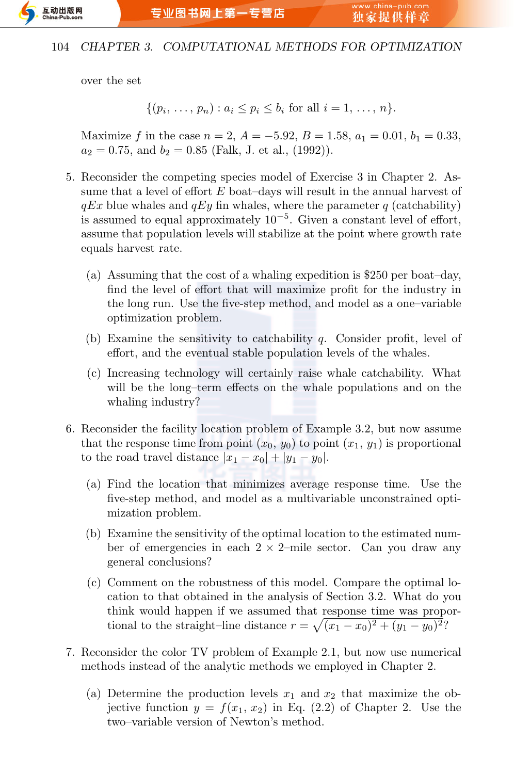

over the set

$$
\{(p_i, \ldots, p_n) : a_i \le p_i \le b_i \text{ for all } i = 1, \ldots, n\}.
$$

Maximize *f* in the case  $n = 2$ ,  $A = -5.92$ ,  $B = 1.58$ ,  $a_1 = 0.01$ ,  $b_1 = 0.33$ ,  $a_2 = 0.75$ , and  $b_2 = 0.85$  (Falk, J. et al., (1992)).

- 5. Reconsider the competing species model of Exercise 3 in Chapter 2. Assume that a level of effort *E* boat–days will result in the annual harvest of  $qEx$  blue whales and  $qEy$  fin whales, where the parameter  $q$  (catchability) is assumed to equal approximately 10*−*<sup>5</sup> . Given a constant level of effort, assume that population levels will stabilize at the point where growth rate equals harvest rate.
	- (a) Assuming that the cost of a whaling expedition is \$250 per boat–day, find the level of effort that will maximize profit for the industry in the long run. Use the five-step method, and model as a one–variable optimization problem.
	- (b) Examine the sensitivity to catchability *q*. Consider profit, level of effort, and the eventual stable population levels of the whales.
	- (c) Increasing technology will certainly raise whale catchability. What will be the long–term effects on the whale populations and on the whaling industry?
- 6. Reconsider the facility location problem of Example 3.2, but now assume that the response time from point  $(x_0, y_0)$  to point  $(x_1, y_1)$  is proportional to the road travel distance  $|x_1 - x_0| + |y_1 - y_0|$ .
	- (a) Find the location that minimizes average response time. Use the five-step method, and model as a multivariable unconstrained optimization problem.
	- (b) Examine the sensitivity of the optimal location to the estimated number of emergencies in each 2 *×* 2–mile sector. Can you draw any general conclusions?
	- (c) Comment on the robustness of this model. Compare the optimal location to that obtained in the analysis of Section 3.2. What do you think would happen if we assumed that response time was proportional to the straight–line distance  $r = \sqrt{(x_1 - x_0)^2 + (y_1 - y_0)^2}$ ?
- 7. Reconsider the color TV problem of Example 2.1, but now use numerical methods instead of the analytic methods we employed in Chapter 2.
	- (a) Determine the production levels  $x_1$  and  $x_2$  that maximize the objective function  $y = f(x_1, x_2)$  in Eq. (2.2) of Chapter 2. Use the two–variable version of Newton's method.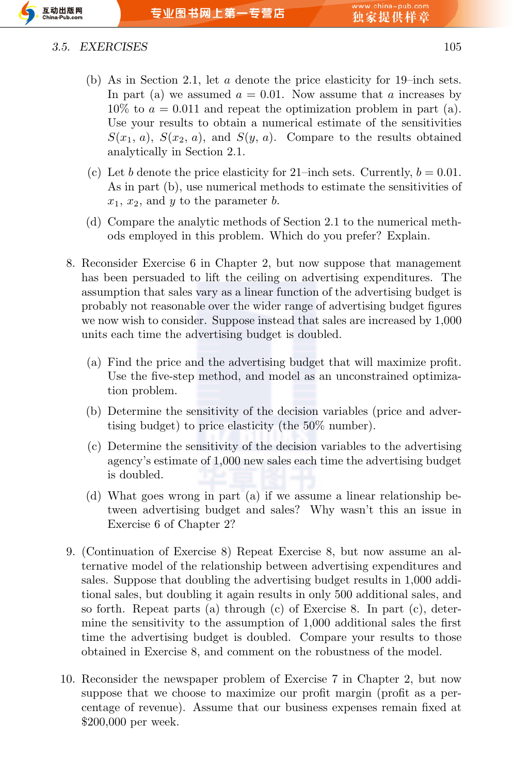

#### *3.5. EXERCISES* 105

- (b) As in Section 2.1, let *a* denote the price elasticity for 19–inch sets. In part (a) we assumed  $a = 0.01$ . Now assume that *a* increases by  $10\%$  to  $a = 0.011$  and repeat the optimization problem in part (a). Use your results to obtain a numerical estimate of the sensitivities  $S(x_1, a)$ ,  $S(x_2, a)$ , and  $S(y, a)$ . Compare to the results obtained analytically in Section 2.1.
- (c) Let *b* denote the price elasticity for 21–inch sets. Currently,  $b = 0.01$ . As in part (b), use numerical methods to estimate the sensitivities of  $x_1, x_2,$  and  $y$  to the parameter  $b$ .
- (d) Compare the analytic methods of Section 2.1 to the numerical methods employed in this problem. Which do you prefer? Explain.
- 8. Reconsider Exercise 6 in Chapter 2, but now suppose that management has been persuaded to lift the ceiling on advertising expenditures. The assumption that sales vary as a linear function of the advertising budget is probably not reasonable over the wider range of advertising budget figures we now wish to consider. Suppose instead that sales are increased by 1,000 units each time the advertising budget is doubled.
	- (a) Find the price and the advertising budget that will maximize profit. Use the five-step method, and model as an unconstrained optimization problem.
	- (b) Determine the sensitivity of the decision variables (price and advertising budget) to price elasticity (the 50% number).
	- (c) Determine the sensitivity of the decision variables to the advertising agency's estimate of 1,000 new sales each time the advertising budget is doubled.
	- (d) What goes wrong in part (a) if we assume a linear relationship between advertising budget and sales? Why wasn't this an issue in Exercise 6 of Chapter 2?
- 9. (Continuation of Exercise 8) Repeat Exercise 8, but now assume an alternative model of the relationship between advertising expenditures and sales. Suppose that doubling the advertising budget results in 1,000 additional sales, but doubling it again results in only 500 additional sales, and so forth. Repeat parts (a) through (c) of Exercise 8. In part (c), determine the sensitivity to the assumption of 1,000 additional sales the first time the advertising budget is doubled. Compare your results to those obtained in Exercise 8, and comment on the robustness of the model.
- 10. Reconsider the newspaper problem of Exercise 7 in Chapter 2, but now suppose that we choose to maximize our profit margin (profit as a percentage of revenue). Assume that our business expenses remain fixed at \$200,000 per week.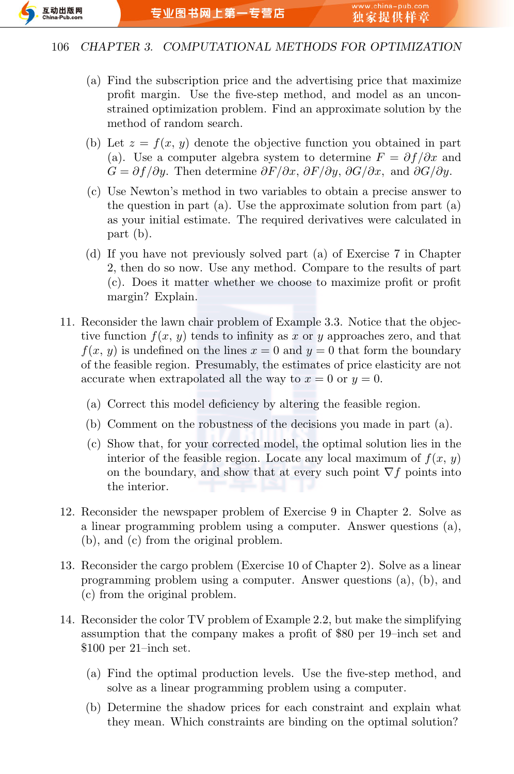

- (a) Find the subscription price and the advertising price that maximize profit margin. Use the five-step method, and model as an unconstrained optimization problem. Find an approximate solution by the method of random search.
- (b) Let  $z = f(x, y)$  denote the objective function you obtained in part (a). Use a computer algebra system to determine  $F = \partial f / \partial x$  and *G* =  $\partial f/\partial y$ . Then determine  $\partial F/\partial x$ ,  $\partial F/\partial y$ ,  $\partial G/\partial x$ , and  $\partial G/\partial y$ .
- (c) Use Newton's method in two variables to obtain a precise answer to the question in part (a). Use the approximate solution from part (a) as your initial estimate. The required derivatives were calculated in part (b).
- (d) If you have not previously solved part (a) of Exercise 7 in Chapter 2, then do so now. Use any method. Compare to the results of part (c). Does it matter whether we choose to maximize profit or profit margin? Explain.
- 11. Reconsider the lawn chair problem of Example 3.3. Notice that the objective function  $f(x, y)$  tends to infinity as x or y approaches zero, and that  $f(x, y)$  is undefined on the lines  $x = 0$  and  $y = 0$  that form the boundary of the feasible region. Presumably, the estimates of price elasticity are not accurate when extrapolated all the way to  $x = 0$  or  $y = 0$ .
	- (a) Correct this model deficiency by altering the feasible region.
	- (b) Comment on the robustness of the decisions you made in part (a).
	- (c) Show that, for your corrected model, the optimal solution lies in the interior of the feasible region. Locate any local maximum of  $f(x, y)$ on the boundary, and show that at every such point *∇f* points into the interior.
- 12. Reconsider the newspaper problem of Exercise 9 in Chapter 2. Solve as a linear programming problem using a computer. Answer questions (a), (b), and (c) from the original problem.
- 13. Reconsider the cargo problem (Exercise 10 of Chapter 2). Solve as a linear programming problem using a computer. Answer questions (a), (b), and (c) from the original problem.
- 14. Reconsider the color TV problem of Example 2.2, but make the simplifying assumption that the company makes a profit of \$80 per 19–inch set and \$100 per 21–inch set.
	- (a) Find the optimal production levels. Use the five-step method, and solve as a linear programming problem using a computer.
	- (b) Determine the shadow prices for each constraint and explain what they mean. Which constraints are binding on the optimal solution?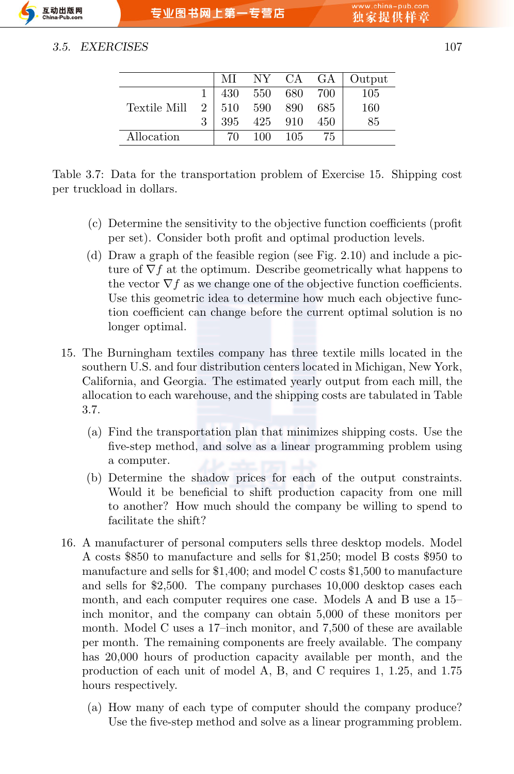### *3.5. EXERCISES* 107

|              |                | МI  |         | NY CA GA |     | Output |
|--------------|----------------|-----|---------|----------|-----|--------|
|              |                | 430 | 550 680 |          | 700 | 105    |
| Textile Mill | 2 <sup>1</sup> | 510 | 590     | 890      | 685 | 160    |
|              | 3              | 395 | 425     | 910      | 450 | 85     |
| Allocation   |                | 70  | 100     | -105     | 75  |        |

Table 3.7: Data for the transportation problem of Exercise 15. Shipping cost per truckload in dollars.

- (c) Determine the sensitivity to the objective function coefficients (profit per set). Consider both profit and optimal production levels.
- (d) Draw a graph of the feasible region (see Fig. 2.10) and include a picture of *∇f* at the optimum. Describe geometrically what happens to the vector  $\nabla f$  as we change one of the objective function coefficients. Use this geometric idea to determine how much each objective function coefficient can change before the current optimal solution is no longer optimal.
- 15. The Burningham textiles company has three textile mills located in the southern U.S. and four distribution centers located in Michigan, New York, California, and Georgia. The estimated yearly output from each mill, the allocation to each warehouse, and the shipping costs are tabulated in Table 3.7.
	- (a) Find the transportation plan that minimizes shipping costs. Use the five-step method, and solve as a linear programming problem using a computer.
	- (b) Determine the shadow prices for each of the output constraints. Would it be beneficial to shift production capacity from one mill to another? How much should the company be willing to spend to facilitate the shift?
- 16. A manufacturer of personal computers sells three desktop models. Model A costs \$850 to manufacture and sells for \$1,250; model B costs \$950 to manufacture and sells for \$1,400; and model C costs \$1,500 to manufacture and sells for \$2,500. The company purchases 10,000 desktop cases each month, and each computer requires one case. Models A and B use a 15– inch monitor, and the company can obtain 5,000 of these monitors per month. Model C uses a 17–inch monitor, and 7,500 of these are available per month. The remaining components are freely available. The company has 20,000 hours of production capacity available per month, and the production of each unit of model A, B, and C requires 1, 1.25, and 1.75 hours respectively.
	- (a) How many of each type of computer should the company produce? Use the five-step method and solve as a linear programming problem.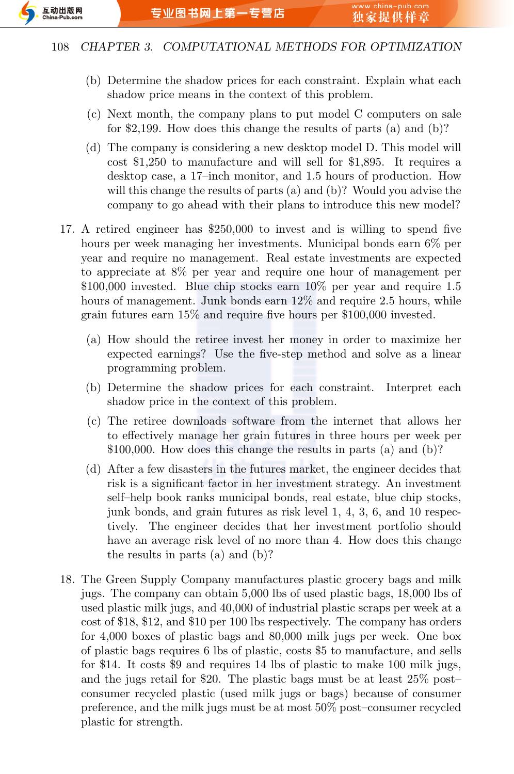

- (b) Determine the shadow prices for each constraint. Explain what each shadow price means in the context of this problem.
- (c) Next month, the company plans to put model C computers on sale for \$2,199. How does this change the results of parts (a) and (b)?
- (d) The company is considering a new desktop model D. This model will cost \$1,250 to manufacture and will sell for \$1,895. It requires a desktop case, a 17–inch monitor, and 1.5 hours of production. How will this change the results of parts (a) and (b)? Would you advise the company to go ahead with their plans to introduce this new model?
- 17. A retired engineer has \$250,000 to invest and is willing to spend five hours per week managing her investments. Municipal bonds earn 6% per year and require no management. Real estate investments are expected to appreciate at 8% per year and require one hour of management per \$100,000 invested. Blue chip stocks earn 10% per year and require 1.5 hours of management. Junk bonds earn  $12\%$  and require 2.5 hours, while grain futures earn 15% and require five hours per \$100,000 invested.
	- (a) How should the retiree invest her money in order to maximize her expected earnings? Use the five-step method and solve as a linear programming problem.
	- (b) Determine the shadow prices for each constraint. Interpret each shadow price in the context of this problem.
	- (c) The retiree downloads software from the internet that allows her to effectively manage her grain futures in three hours per week per \$100,000. How does this change the results in parts (a) and (b)?
	- (d) After a few disasters in the futures market, the engineer decides that risk is a significant factor in her investment strategy. An investment self–help book ranks municipal bonds, real estate, blue chip stocks, junk bonds, and grain futures as risk level 1, 4, 3, 6, and 10 respectively. The engineer decides that her investment portfolio should have an average risk level of no more than 4. How does this change the results in parts (a) and (b)?
- 18. The Green Supply Company manufactures plastic grocery bags and milk jugs. The company can obtain 5,000 lbs of used plastic bags, 18,000 lbs of used plastic milk jugs, and 40,000 of industrial plastic scraps per week at a cost of \$18, \$12, and \$10 per 100 lbs respectively. The company has orders for 4,000 boxes of plastic bags and 80,000 milk jugs per week. One box of plastic bags requires 6 lbs of plastic, costs \$5 to manufacture, and sells for \$14. It costs \$9 and requires 14 lbs of plastic to make 100 milk jugs, and the jugs retail for \$20. The plastic bags must be at least 25% post– consumer recycled plastic (used milk jugs or bags) because of consumer preference, and the milk jugs must be at most 50% post–consumer recycled plastic for strength.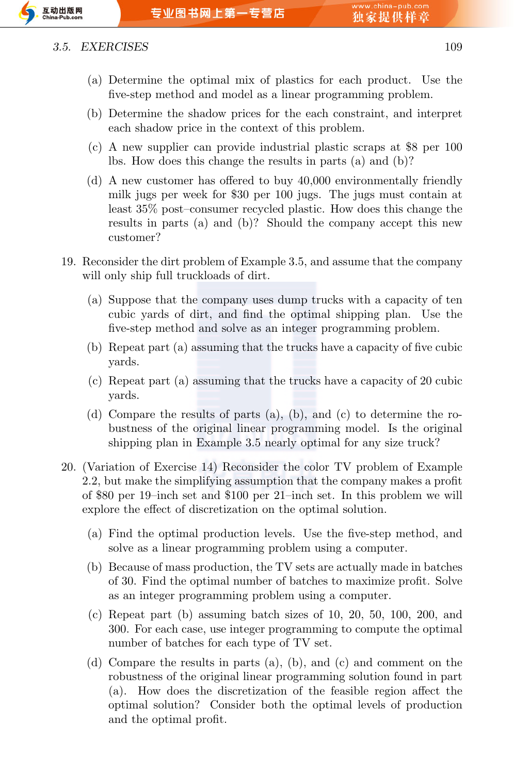

#### *3.5. EXERCISES* 109

- (a) Determine the optimal mix of plastics for each product. Use the five-step method and model as a linear programming problem.
- (b) Determine the shadow prices for the each constraint, and interpret each shadow price in the context of this problem.
- (c) A new supplier can provide industrial plastic scraps at \$8 per 100 lbs. How does this change the results in parts (a) and (b)?
- (d) A new customer has offered to buy 40,000 environmentally friendly milk jugs per week for \$30 per 100 jugs. The jugs must contain at least 35% post–consumer recycled plastic. How does this change the results in parts (a) and (b)? Should the company accept this new customer?
- 19. Reconsider the dirt problem of Example 3.5, and assume that the company will only ship full truckloads of dirt.
	- (a) Suppose that the company uses dump trucks with a capacity of ten cubic yards of dirt, and find the optimal shipping plan. Use the five-step method and solve as an integer programming problem.
	- (b) Repeat part (a) assuming that the trucks have a capacity of five cubic yards.
	- (c) Repeat part (a) assuming that the trucks have a capacity of 20 cubic yards.
	- (d) Compare the results of parts (a), (b), and (c) to determine the robustness of the original linear programming model. Is the original shipping plan in Example 3.5 nearly optimal for any size truck?
- 20. (Variation of Exercise 14) Reconsider the color TV problem of Example 2.2, but make the simplifying assumption that the company makes a profit of \$80 per 19–inch set and \$100 per 21–inch set. In this problem we will explore the effect of discretization on the optimal solution.
	- (a) Find the optimal production levels. Use the five-step method, and solve as a linear programming problem using a computer.
	- (b) Because of mass production, the TV sets are actually made in batches of 30. Find the optimal number of batches to maximize profit. Solve as an integer programming problem using a computer.
	- (c) Repeat part (b) assuming batch sizes of 10, 20, 50, 100, 200, and 300. For each case, use integer programming to compute the optimal number of batches for each type of TV set.
	- (d) Compare the results in parts (a), (b), and (c) and comment on the robustness of the original linear programming solution found in part (a). How does the discretization of the feasible region affect the optimal solution? Consider both the optimal levels of production and the optimal profit.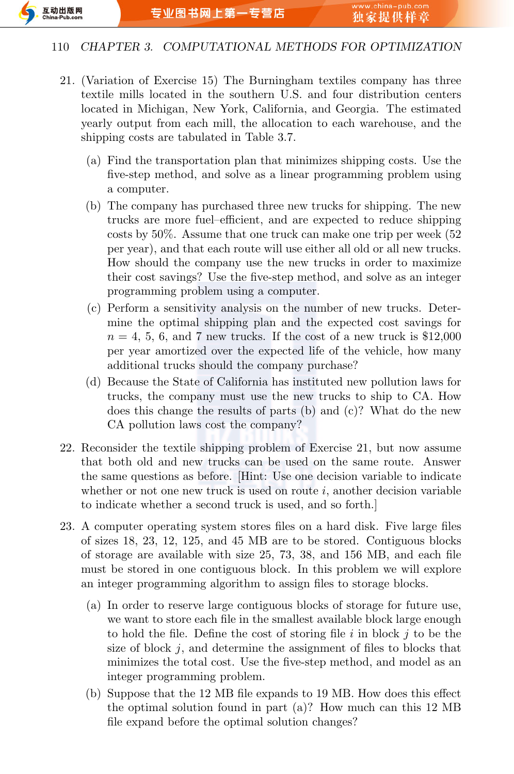

- 21. (Variation of Exercise 15) The Burningham textiles company has three textile mills located in the southern U.S. and four distribution centers located in Michigan, New York, California, and Georgia. The estimated yearly output from each mill, the allocation to each warehouse, and the shipping costs are tabulated in Table 3.7.
	- (a) Find the transportation plan that minimizes shipping costs. Use the five-step method, and solve as a linear programming problem using a computer.
	- (b) The company has purchased three new trucks for shipping. The new trucks are more fuel–efficient, and are expected to reduce shipping costs by 50%. Assume that one truck can make one trip per week (52 per year), and that each route will use either all old or all new trucks. How should the company use the new trucks in order to maximize their cost savings? Use the five-step method, and solve as an integer programming problem using a computer.
	- (c) Perform a sensitivity analysis on the number of new trucks. Determine the optimal shipping plan and the expected cost savings for  $n = 4, 5, 6,$  and 7 new trucks. If the cost of a new truck is \$12,000 per year amortized over the expected life of the vehicle, how many additional trucks should the company purchase?
	- (d) Because the State of California has instituted new pollution laws for trucks, the company must use the new trucks to ship to CA. How does this change the results of parts (b) and (c)? What do the new CA pollution laws cost the company?
- 22. Reconsider the textile shipping problem of Exercise 21, but now assume that both old and new trucks can be used on the same route. Answer the same questions as before. [Hint: Use one decision variable to indicate whether or not one new truck is used on route  $i$ , another decision variable to indicate whether a second truck is used, and so forth.]
- 23. A computer operating system stores files on a hard disk. Five large files of sizes 18, 23, 12, 125, and 45 MB are to be stored. Contiguous blocks of storage are available with size 25, 73, 38, and 156 MB, and each file must be stored in one contiguous block. In this problem we will explore an integer programming algorithm to assign files to storage blocks.
	- (a) In order to reserve large contiguous blocks of storage for future use, we want to store each file in the smallest available block large enough to hold the file. Define the cost of storing file *i* in block *j* to be the size of block *j*, and determine the assignment of files to blocks that minimizes the total cost. Use the five-step method, and model as an integer programming problem.
	- (b) Suppose that the 12 MB file expands to 19 MB. How does this effect the optimal solution found in part (a)? How much can this 12 MB file expand before the optimal solution changes?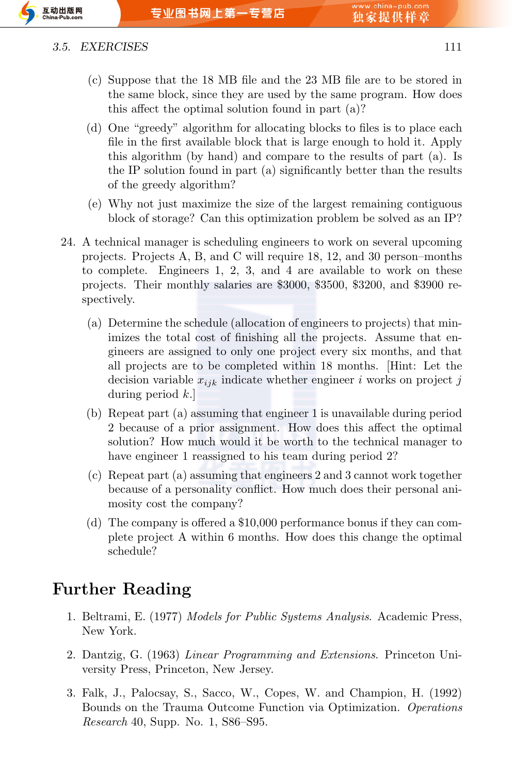

#### *3.5. EXERCISES* 111

- (c) Suppose that the 18 MB file and the 23 MB file are to be stored in the same block, since they are used by the same program. How does this affect the optimal solution found in part (a)?
- (d) One "greedy" algorithm for allocating blocks to files is to place each file in the first available block that is large enough to hold it. Apply this algorithm (by hand) and compare to the results of part (a). Is the IP solution found in part (a) significantly better than the results of the greedy algorithm?
- (e) Why not just maximize the size of the largest remaining contiguous block of storage? Can this optimization problem be solved as an IP?
- 24. A technical manager is scheduling engineers to work on several upcoming projects. Projects A, B, and C will require 18, 12, and 30 person–months to complete. Engineers 1, 2, 3, and 4 are available to work on these projects. Their monthly salaries are \$3000, \$3500, \$3200, and \$3900 respectively.
	- (a) Determine the schedule (allocation of engineers to projects) that minimizes the total cost of finishing all the projects. Assume that engineers are assigned to only one project every six months, and that all projects are to be completed within 18 months. [Hint: Let the decision variable *xijk* indicate whether engineer *i* works on project *j* during period *k*.]
	- (b) Repeat part (a) assuming that engineer 1 is unavailable during period 2 because of a prior assignment. How does this affect the optimal solution? How much would it be worth to the technical manager to have engineer 1 reassigned to his team during period 2?
	- (c) Repeat part (a) assuming that engineers 2 and 3 cannot work together because of a personality conflict. How much does their personal animosity cost the company?
	- (d) The company is offered a \$10,000 performance bonus if they can complete project A within 6 months. How does this change the optimal schedule?

# **Further Reading**

- 1. Beltrami, E. (1977) *Models for Public Systems Analysis*. Academic Press, New York.
- 2. Dantzig, G. (1963) *Linear Programming and Extensions*. Princeton University Press, Princeton, New Jersey.
- 3. Falk, J., Palocsay, S., Sacco, W., Copes, W. and Champion, H. (1992) Bounds on the Trauma Outcome Function via Optimization. *Operations Research* 40, Supp. No. 1, S86–S95.